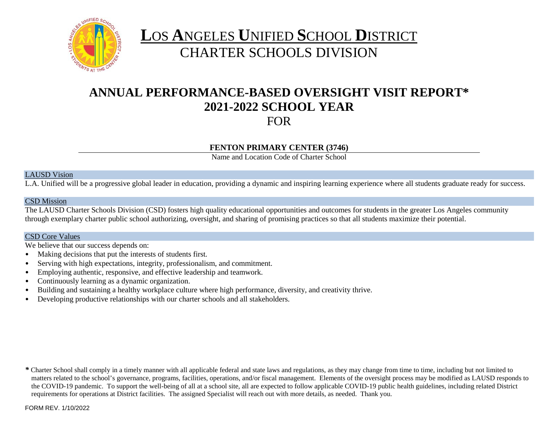

# **L**OS **A**NGELES **U**NIFIED **S**CHOOL **D**ISTRICT CHARTER SCHOOLS DIVISION

## **ANNUAL PERFORMANCE-BASED OVERSIGHT VISIT REPORT\* 2021-2022 SCHOOL YEAR** FOR

## **FENTON PRIMARY CENTER (3746)**

Name and Location Code of Charter School

#### LAUSD Vision

L.A. Unified will be a progressive global leader in education, providing a dynamic and inspiring learning experience where all students graduate ready for success.

#### CSD Mission

The LAUSD Charter Schools Division (CSD) fosters high quality educational opportunities and outcomes for students in the greater Los Angeles community through exemplary charter public school authorizing, oversight, and sharing of promising practices so that all students maximize their potential.

#### CSD Core Values

We believe that our success depends on:

- Making decisions that put the interests of students first.
- Serving with high expectations, integrity, professionalism, and commitment.
- Employing authentic, responsive, and effective leadership and teamwork.
- Continuously learning as a dynamic organization.
- Building and sustaining a healthy workplace culture where high performance, diversity, and creativity thrive.
- Developing productive relationships with our charter schools and all stakeholders.

*\** Charter School shall comply in a timely manner with all applicable federal and state laws and regulations, as they may change from time to time, including but not limited to matters related to the school's governance, programs, facilities, operations, and/or fiscal management. Elements of the oversight process may be modified as LAUSD responds to the COVID-19 pandemic. To support the well-being of all at a school site, all are expected to follow applicable COVID-19 public health guidelines, including related District requirements for operations at District facilities. The assigned Specialist will reach out with more details, as needed. Thank you.

FORM REV. 1/10/2022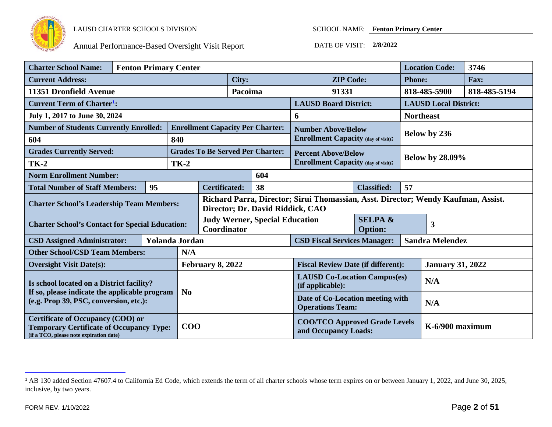

<span id="page-1-0"></span>

| <b>Charter School Name:</b><br><b>Fenton Primary Center</b>                                                                            |  |  |                       |                                                                                                                       |                                                         |                                                              |                                                               | <b>Location Code:</b>     | 3746                                       |                              |                        |  |
|----------------------------------------------------------------------------------------------------------------------------------------|--|--|-----------------------|-----------------------------------------------------------------------------------------------------------------------|---------------------------------------------------------|--------------------------------------------------------------|---------------------------------------------------------------|---------------------------|--------------------------------------------|------------------------------|------------------------|--|
| <b>Current Address:</b>                                                                                                                |  |  | City:                 |                                                                                                                       | <b>ZIP Code:</b>                                        |                                                              | <b>Phone:</b>                                                 |                           | Fax:                                       |                              |                        |  |
| 11351 Dronfield Avenue                                                                                                                 |  |  |                       |                                                                                                                       | Pacoima                                                 |                                                              | 91331                                                         |                           |                                            | 818-485-5900                 | 818-485-5194           |  |
| <b>Current Term of Charter<sup>1</sup></b> :                                                                                           |  |  |                       |                                                                                                                       | <b>LAUSD Board District:</b>                            |                                                              |                                                               |                           |                                            | <b>LAUSD Local District:</b> |                        |  |
| July 1, 2017 to June 30, 2024                                                                                                          |  |  |                       |                                                                                                                       | 6                                                       |                                                              |                                                               |                           | <b>Northeast</b>                           |                              |                        |  |
| <b>Number of Students Currently Enrolled:</b>                                                                                          |  |  |                       |                                                                                                                       |                                                         | <b>Enrollment Capacity Per Charter:</b>                      |                                                               | <b>Number Above/Below</b> |                                            |                              |                        |  |
| 604                                                                                                                                    |  |  | 840                   |                                                                                                                       |                                                         |                                                              |                                                               |                           | <b>Enrollment Capacity (day of visit):</b> |                              | Below by 236           |  |
| <b>Grades Currently Served:</b>                                                                                                        |  |  |                       |                                                                                                                       |                                                         | <b>Grades To Be Served Per Charter:</b>                      | <b>Percent Above/Below</b>                                    |                           |                                            |                              |                        |  |
| <b>TK-2</b>                                                                                                                            |  |  | <b>TK-2</b>           |                                                                                                                       |                                                         |                                                              |                                                               |                           | <b>Enrollment Capacity (day of visit):</b> |                              | <b>Below by 28.09%</b> |  |
| <b>Norm Enrollment Number:</b>                                                                                                         |  |  |                       |                                                                                                                       |                                                         | 604                                                          |                                                               |                           |                                            |                              |                        |  |
| 95<br><b>Total Number of Staff Members:</b>                                                                                            |  |  |                       | 57<br>38<br><b>Certificated:</b><br><b>Classified:</b>                                                                |                                                         |                                                              |                                                               |                           |                                            |                              |                        |  |
| <b>Charter School's Leadership Team Members:</b>                                                                                       |  |  |                       | Richard Parra, Director; Sirui Thomassian, Asst. Director; Wendy Kaufman, Assist.<br>Director; Dr. David Riddick, CAO |                                                         |                                                              |                                                               |                           |                                            |                              |                        |  |
| <b>Charter School's Contact for Special Education:</b>                                                                                 |  |  |                       | <b>Judy Werner, Special Education</b><br>Coordinator                                                                  |                                                         | <b>SELPA &amp;</b><br><b>Option:</b>                         |                                                               |                           | 3                                          |                              |                        |  |
| <b>CSD Assigned Administrator:</b>                                                                                                     |  |  | <b>Yolanda Jordan</b> |                                                                                                                       |                                                         |                                                              | <b>CSD Fiscal Services Manager:</b><br><b>Sandra Melendez</b> |                           |                                            |                              |                        |  |
| <b>Other School/CSD Team Members:</b>                                                                                                  |  |  | N/A                   |                                                                                                                       |                                                         |                                                              |                                                               |                           |                                            |                              |                        |  |
| <b>Oversight Visit Date(s):</b>                                                                                                        |  |  |                       | <b>February 8, 2022</b>                                                                                               |                                                         | <b>Fiscal Review Date (if different):</b>                    |                                                               |                           | <b>January 31, 2022</b>                    |                              |                        |  |
| Is school located on a District facility?                                                                                              |  |  |                       |                                                                                                                       | <b>LAUSD Co-Location Campus(es)</b><br>(if applicable): |                                                              |                                                               | N/A                       |                                            |                              |                        |  |
| If so, please indicate the applicable program<br>(e.g. Prop 39, PSC, conversion, etc.):                                                |  |  |                       | N <sub>0</sub>                                                                                                        |                                                         | Date of Co-Location meeting with<br><b>Operations Team:</b>  |                                                               |                           | N/A                                        |                              |                        |  |
| <b>Certificate of Occupancy (COO) or</b><br><b>Temporary Certificate of Occupancy Type:</b><br>(if a TCO, please note expiration date) |  |  |                       | $\bf{COO}$                                                                                                            |                                                         | <b>COO/TCO Approved Grade Levels</b><br>and Occupancy Loads: |                                                               |                           | K-6/900 maximum                            |                              |                        |  |

<sup>&</sup>lt;sup>1</sup> AB 130 added Section 47607.4 to California Ed Code, which extends the term of all charter schools whose term expires on or between January 1, 2022, and June 30, 2025, inclusive, by two years.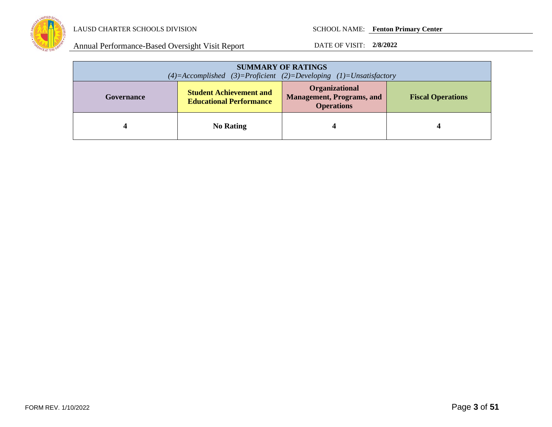

| <b>SUMMARY OF RATINGS</b><br>$(4)=$ Accomplished $(3)=$ Proficient $(2)=$ Developing $(1)=$ Unsatisfactory |                                                                  |                                                                         |                          |  |
|------------------------------------------------------------------------------------------------------------|------------------------------------------------------------------|-------------------------------------------------------------------------|--------------------------|--|
| Governance                                                                                                 | <b>Student Achievement and</b><br><b>Educational Performance</b> | Organizational<br><b>Management, Programs, and</b><br><b>Operations</b> | <b>Fiscal Operations</b> |  |
|                                                                                                            | <b>No Rating</b>                                                 |                                                                         |                          |  |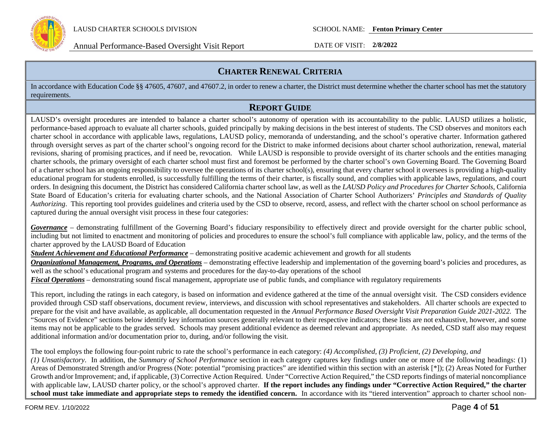

Annual Performance-Based Oversight Visit Report DATE OF VISIT: **2/8/2022**

## **CHARTER RENEWAL CRITERIA**

In accordance with Education Code §§ 47605, 47607, and 47607.2, in order to renew a charter, the District must determine whether the charter school has met the statutory requirements.

## **REPORT GUIDE**

LAUSD's oversight procedures are intended to balance a charter school's autonomy of operation with its accountability to the public. LAUSD utilizes a holistic, performance-based approach to evaluate all charter schools, guided principally by making decisions in the best interest of students. The CSD observes and monitors each charter school in accordance with applicable laws, regulations, LAUSD policy, memoranda of understanding, and the school's operative charter. Information gathered through oversight serves as part of the charter school's ongoing record for the District to make informed decisions about charter school authorization, renewal, material revisions, sharing of promising practices, and if need be, revocation. While LAUSD is responsible to provide oversight of its charter schools and the entities managing charter schools, the primary oversight of each charter school must first and foremost be performed by the charter school's own Governing Board. The Governing Board of a charter school has an ongoing responsibility to oversee the operations of its charter school(s), ensuring that every charter school it oversees is providing a high-quality educational program for students enrolled, is successfully fulfilling the terms of their charter, is fiscally sound, and complies with applicable laws, regulations, and court orders. In designing this document, the District has considered California charter school law, as well as the *LAUSD Policy and Procedures for Charter Schools,* California State Board of Education's criteria for evaluating charter schools, and the National Association of Charter School Authorizers' *Principles and Standards of Quality Authorizing*. This reporting tool provides guidelines and criteria used by the CSD to observe, record, assess, and reflect with the charter school on school performance as captured during the annual oversight visit process in these four categories:

*Governance* – demonstrating fulfillment of the Governing Board's fiduciary responsibility to effectively direct and provide oversight for the charter public school, including but not limited to enactment and monitoring of policies and procedures to ensure the school's full compliance with applicable law, policy, and the terms of the charter approved by the LAUSD Board of Education

*Student Achievement and Educational Performance* – demonstrating positive academic achievement and growth for all students

*Organizational Management, Programs, and Operations* – demonstrating effective leadership and implementation of the governing board's policies and procedures, as well as the school's educational program and systems and procedures for the day-to-day operations of the school

*Fiscal Operations* – demonstrating sound fiscal management, appropriate use of public funds, and compliance with regulatory requirements

This report, including the ratings in each category, is based on information and evidence gathered at the time of the annual oversight visit. The CSD considers evidence provided through CSD staff observations, document review, interviews, and discussion with school representatives and stakeholders. All charter schools are expected to prepare for the visit and have available, as applicable, all documentation requested in the *Annual Performance Based Oversight Visit Preparation Guide 2021-2022.* The "Sources of Evidence" sections below identify key information sources generally relevant to their respective indicators; these lists are not exhaustive, however, and some items may not be applicable to the grades served. Schools may present additional evidence as deemed relevant and appropriate. As needed, CSD staff also may request additional information and/or documentation prior to, during, and/or following the visit.

The tool employs the following four-point rubric to rate the school's performance in each category: *(4) Accomplished, (3) Proficient, (2) Developing, and (1) Unsatisfactory*. In addition, the *Summary of School Performance* section in each category captures key findings under one or more of the following headings: (1) Areas of Demonstrated Strength and/or Progress (Note: potential "promising practices" are identified within this section with an asterisk [\*]); (2) Areas Noted for Further Growth and/or Improvement; and, if applicable, (3) Corrective Action Required. Under "Corrective Action Required," the CSD reports findings of material noncompliance with applicable law, LAUSD charter policy, or the school's approved charter. **If the report includes any findings under "Corrective Action Required," the charter**  school must take immediate and appropriate steps to remedy the identified concern. In accordance with its "tiered intervention" approach to charter school non-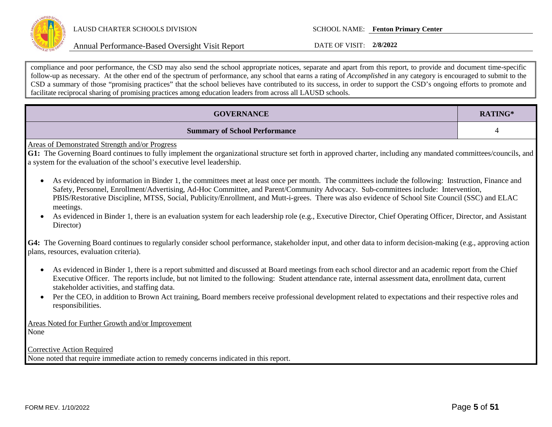

Annual Performance-Based Oversight Visit Report DATE OF VISIT: **2/8/2022**

compliance and poor performance, the CSD may also send the school appropriate notices, separate and apart from this report, to provide and document time-specific follow-up as necessary. At the other end of the spectrum of performance, any school that earns a rating of *Accomplished* in any category is encouraged to submit to the CSD a summary of those "promising practices" that the school believes have contributed to its success, in order to support the CSD's ongoing efforts to promote and facilitate reciprocal sharing of promising practices among education leaders from across all LAUSD schools.

| <b>GOVERNANCE</b>                                                                                                                                                                                                                                                                                                                                                                                                                                                       | RATING* |  |  |  |
|-------------------------------------------------------------------------------------------------------------------------------------------------------------------------------------------------------------------------------------------------------------------------------------------------------------------------------------------------------------------------------------------------------------------------------------------------------------------------|---------|--|--|--|
| <b>Summary of School Performance</b>                                                                                                                                                                                                                                                                                                                                                                                                                                    | 4       |  |  |  |
| Areas of Demonstrated Strength and/or Progress<br>G1: The Governing Board continues to fully implement the organizational structure set forth in approved charter, including any mandated committees/councils, and<br>a system for the evaluation of the school's executive level leadership.                                                                                                                                                                           |         |  |  |  |
| As evidenced by information in Binder 1, the committees meet at least once per month. The committees include the following: Instruction, Finance and<br>$\bullet$<br>Safety, Personnel, Enrollment/Advertising, Ad-Hoc Committee, and Parent/Community Advocacy. Sub-committees include: Intervention,<br>PBIS/Restorative Discipline, MTSS, Social, Publicity/Enrollment, and Mutt-i-grees. There was also evidence of School Site Council (SSC) and ELAC<br>meetings. |         |  |  |  |
| As evidenced in Binder 1, there is an evaluation system for each leadership role (e.g., Executive Director, Chief Operating Officer, Director, and Assistant<br>Director)                                                                                                                                                                                                                                                                                               |         |  |  |  |
| G4: The Governing Board continues to regularly consider school performance, stakeholder input, and other data to inform decision-making (e.g., approving action<br>plans, resources, evaluation criteria).                                                                                                                                                                                                                                                              |         |  |  |  |
| As evidenced in Binder 1, there is a report submitted and discussed at Board meetings from each school director and an academic report from the Chief<br>$\bullet$<br>Executive Officer. The reports include, but not limited to the following: Student attendance rate, internal assessment data, enrollment data, current<br>stakeholder activities, and staffing data.                                                                                               |         |  |  |  |
| Per the CEO, in addition to Brown Act training, Board members receive professional development related to expectations and their respective roles and<br>responsibilities.                                                                                                                                                                                                                                                                                              |         |  |  |  |
| Areas Noted for Further Growth and/or Improvement<br>None                                                                                                                                                                                                                                                                                                                                                                                                               |         |  |  |  |
| <b>Corrective Action Required</b><br>None noted that require immediate action to remedy concerns indicated in this report.                                                                                                                                                                                                                                                                                                                                              |         |  |  |  |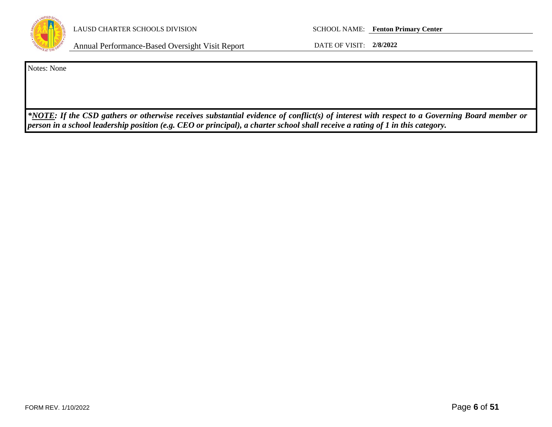

Annual Performance-Based Oversight Visit Report DATE OF VISIT: **2/8/2022**

Notes: None

*\*NOTE: If the CSD gathers or otherwise receives substantial evidence of conflict(s) of interest with respect to a Governing Board member or person in a school leadership position (e.g. CEO or principal), a charter school shall receive a rating of 1 in this category.*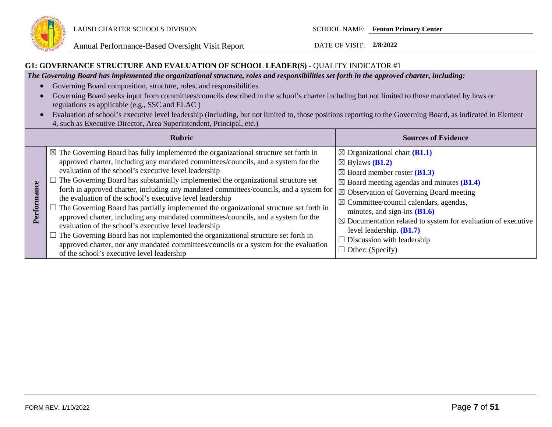

Annual Performance-Based Oversight Visit Report DATE OF VISIT: **2/8/2022**

#### **G1: GOVERNANCE STRUCTURE AND EVALUATION OF SCHOOL LEADER(S)** - QUALITY INDICATOR #1

*The Governing Board has implemented the organizational structure, roles and responsibilities set forth in the approved charter, including:*

- Governing Board composition, structure, roles, and responsibilities
- Governing Board seeks input from committees/councils described in the school's charter including but not limited to those mandated by laws or regulations as applicable (e.g., SSC and ELAC )
- Evaluation of school's executive level leadership (including, but not limited to, those positions reporting to the Governing Board, as indicated in Element 4, such as Executive Director, Area Superintendent, Principal, etc.)

|                  | <b>Rubric</b>                                                                                                                                                                                                                                                                                                                                                                                                                                                                                                                                                                                                                                                                                                                                                                                                                                                                                                                                                                            | <b>Sources of Evidence</b>                                                                                                                                                                                                                                                                                                                                                                                                                                                                                              |
|------------------|------------------------------------------------------------------------------------------------------------------------------------------------------------------------------------------------------------------------------------------------------------------------------------------------------------------------------------------------------------------------------------------------------------------------------------------------------------------------------------------------------------------------------------------------------------------------------------------------------------------------------------------------------------------------------------------------------------------------------------------------------------------------------------------------------------------------------------------------------------------------------------------------------------------------------------------------------------------------------------------|-------------------------------------------------------------------------------------------------------------------------------------------------------------------------------------------------------------------------------------------------------------------------------------------------------------------------------------------------------------------------------------------------------------------------------------------------------------------------------------------------------------------------|
| mance<br>Perforn | $\mathbb{R}$ The Governing Board has fully implemented the organizational structure set forth in<br>approved charter, including any mandated committees/councils, and a system for the<br>evaluation of the school's executive level leadership<br>$\Box$ The Governing Board has substantially implemented the organizational structure set<br>forth in approved charter, including any mandated committees/councils, and a system for<br>the evaluation of the school's executive level leadership<br>$\Box$ The Governing Board has partially implemented the organizational structure set forth in<br>approved charter, including any mandated committees/councils, and a system for the<br>evaluation of the school's executive level leadership<br>$\Box$ The Governing Board has not implemented the organizational structure set forth in<br>approved charter, nor any mandated committees/councils or a system for the evaluation<br>of the school's executive level leadership | $\boxtimes$ Organizational chart ( <b>B1.1</b> )<br>$\boxtimes$ Bylaws ( <b>B1.2</b> )<br>$\boxtimes$ Board member roster ( <b>B1.3</b> )<br>$\boxtimes$ Board meeting agendas and minutes (B1.4)<br>$\boxtimes$ Observation of Governing Board meeting<br>$\boxtimes$ Committee/council calendars, agendas,<br>minutes, and sign-ins $(B1.6)$<br>$\boxtimes$ Documentation related to system for evaluation of executive<br>level leadership. $(B1.7)$<br>$\Box$ Discussion with leadership<br>$\Box$ Other: (Specify) |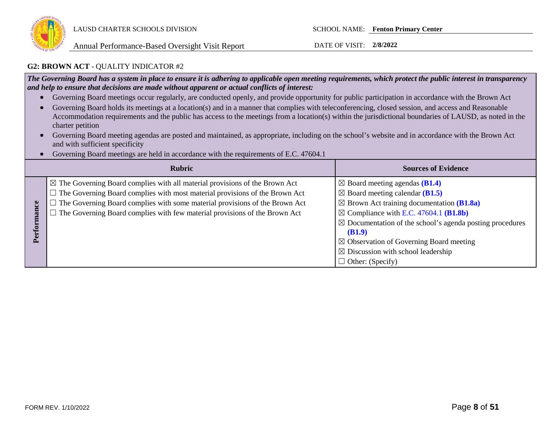

#### **G2: BROWN ACT** - QUALITY INDICATOR #2

*The Governing Board has a system in place to ensure it is adhering to applicable open meeting requirements, which protect the public interest in transparency and help to ensure that decisions are made without apparent or actual conflicts of interest:*

- Governing Board meetings occur regularly, are conducted openly, and provide opportunity for public participation in accordance with the Brown Act
- Governing Board holds its meetings at a location(s) and in a manner that complies with teleconferencing, closed session, and access and Reasonable Accommodation requirements and the public has access to the meetings from a location(s) within the jurisdictional boundaries of LAUSD, as noted in the charter petition
- Governing Board meeting agendas are posted and maintained, as appropriate, including on the school's website and in accordance with the Brown Act and with sufficient specificity
- Governing Board meetings are held in accordance with the requirements of E.C. 47604.1

|       | <b>Rubric</b>                                                                                                                                                                                                                                                                                                                                           | <b>Sources of Evidence</b>                                                                                                                                                                                                                                                                                                                                                                                           |
|-------|---------------------------------------------------------------------------------------------------------------------------------------------------------------------------------------------------------------------------------------------------------------------------------------------------------------------------------------------------------|----------------------------------------------------------------------------------------------------------------------------------------------------------------------------------------------------------------------------------------------------------------------------------------------------------------------------------------------------------------------------------------------------------------------|
| erfor | $\boxtimes$ The Governing Board complies with all material provisions of the Brown Act<br>$\Box$ The Governing Board complies with most material provisions of the Brown Act<br>$\Box$ The Governing Board complies with some material provisions of the Brown Act<br>$\Box$ The Governing Board complies with few material provisions of the Brown Act | $\boxtimes$ Board meeting agendas (B1.4)<br>$\boxtimes$ Board meeting calendar (B1.5)<br>$\boxtimes$ Brown Act training documentation (B1.8a)<br>$\boxtimes$ Compliance with E.C. 47604.1 (B1.8b)<br>$\boxtimes$ Documentation of the school's agenda posting procedures<br>(B1.9)<br>$\boxtimes$ Observation of Governing Board meeting<br>$\boxtimes$ Discussion with school leadership<br>$\Box$ Other: (Specify) |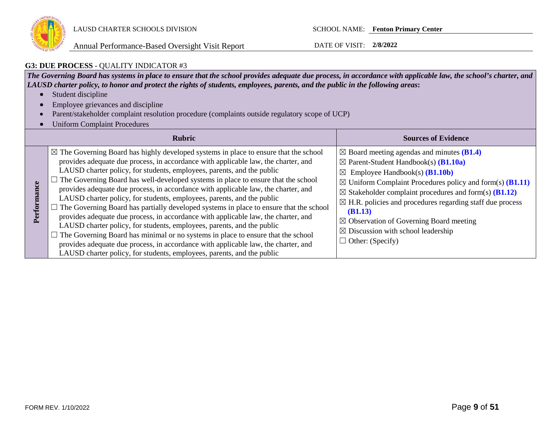

## **G3: DUE PROCESS** - QUALITY INDICATOR #3

*The Governing Board has systems in place to ensure that the school provides adequate due process, in accordance with applicable law, the school's charter, and LAUSD charter policy, to honor and protect the rights of students, employees, parents, and the public in the following areas***:**

- Student discipline
- Employee grievances and discipline
- Parent/stakeholder complaint resolution procedure (complaints outside regulatory scope of UCP)
- Uniform Complaint Procedures

|             | <b>Rubric</b>                                                                                                                                                                                                                                                                                                                                                                                                                                                                                                                                                                                                                                                                                                                                                                                                                                                                                                                                                                                                                                           | <b>Sources of Evidence</b>                                                                                                                                                                                                                                                                                                                                                                                                                                                                                                                  |
|-------------|---------------------------------------------------------------------------------------------------------------------------------------------------------------------------------------------------------------------------------------------------------------------------------------------------------------------------------------------------------------------------------------------------------------------------------------------------------------------------------------------------------------------------------------------------------------------------------------------------------------------------------------------------------------------------------------------------------------------------------------------------------------------------------------------------------------------------------------------------------------------------------------------------------------------------------------------------------------------------------------------------------------------------------------------------------|---------------------------------------------------------------------------------------------------------------------------------------------------------------------------------------------------------------------------------------------------------------------------------------------------------------------------------------------------------------------------------------------------------------------------------------------------------------------------------------------------------------------------------------------|
| Performance | $\boxtimes$ The Governing Board has highly developed systems in place to ensure that the school<br>provides adequate due process, in accordance with applicable law, the charter, and<br>LAUSD charter policy, for students, employees, parents, and the public<br>$\Box$ The Governing Board has well-developed systems in place to ensure that the school<br>provides adequate due process, in accordance with applicable law, the charter, and<br>LAUSD charter policy, for students, employees, parents, and the public<br>$\Box$ The Governing Board has partially developed systems in place to ensure that the school<br>provides adequate due process, in accordance with applicable law, the charter, and<br>LAUSD charter policy, for students, employees, parents, and the public<br>$\Box$ The Governing Board has minimal or no systems in place to ensure that the school<br>provides adequate due process, in accordance with applicable law, the charter, and<br>LAUSD charter policy, for students, employees, parents, and the public | $\boxtimes$ Board meeting agendas and minutes (B1.4)<br>$\boxtimes$ Parent-Student Handbook(s) ( <b>B1.10a</b> )<br>Employee Handbook(s) $(B1.10b)$<br>$\boxtimes$<br>$\boxtimes$ Uniform Complaint Procedures policy and form(s) ( <b>B1.11</b> )<br>$\boxtimes$ Stakeholder complaint procedures and form(s) (B1.12)<br>$\boxtimes$ H.R. policies and procedures regarding staff due process<br>(B1.13)<br>$\boxtimes$ Observation of Governing Board meeting<br>$\boxtimes$ Discussion with school leadership<br>$\Box$ Other: (Specify) |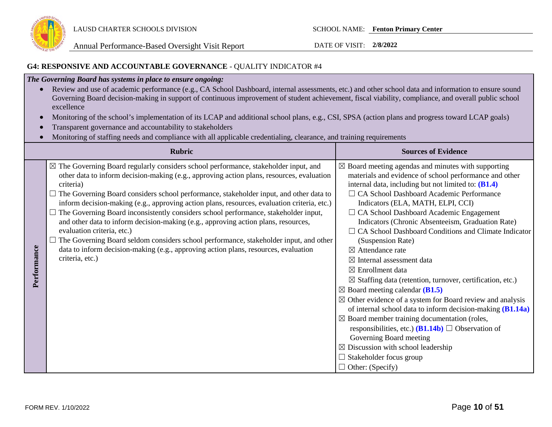

## **G4: RESPONSIVE AND ACCOUNTABLE GOVERNANCE** - QUALITY INDICATOR #4

## *The Governing Board has systems in place to ensure ongoing:*

- Review and use of academic performance (e.g., CA School Dashboard, internal assessments, etc.) and other school data and information to ensure sound Governing Board decision-making in support of continuous improvement of student achievement, fiscal viability, compliance, and overall public school excellence
- Monitoring of the school's implementation of its LCAP and additional school plans, e.g., CSI, SPSA (action plans and progress toward LCAP goals)
- Transparent governance and accountability to stakeholders
- Monitoring of staffing needs and compliance with all applicable credentialing, clearance, and training requirements

|             | Rubric                                                                                                                                                                                                                                                                                                                                                                                                                                                                                                                                                                                                                                                                                                                                                                                                                        | <b>Sources of Evidence</b>                                                                                                                                                                                                                                                                                                                                                                                                                                                                                                                                                                                                                                                                                                                                                                                                                                                                                                                                                                                                                                                                        |
|-------------|-------------------------------------------------------------------------------------------------------------------------------------------------------------------------------------------------------------------------------------------------------------------------------------------------------------------------------------------------------------------------------------------------------------------------------------------------------------------------------------------------------------------------------------------------------------------------------------------------------------------------------------------------------------------------------------------------------------------------------------------------------------------------------------------------------------------------------|---------------------------------------------------------------------------------------------------------------------------------------------------------------------------------------------------------------------------------------------------------------------------------------------------------------------------------------------------------------------------------------------------------------------------------------------------------------------------------------------------------------------------------------------------------------------------------------------------------------------------------------------------------------------------------------------------------------------------------------------------------------------------------------------------------------------------------------------------------------------------------------------------------------------------------------------------------------------------------------------------------------------------------------------------------------------------------------------------|
| Performance | $\boxtimes$ The Governing Board regularly considers school performance, stakeholder input, and<br>other data to inform decision-making (e.g., approving action plans, resources, evaluation<br>criteria)<br>$\Box$ The Governing Board considers school performance, stakeholder input, and other data to<br>inform decision-making (e.g., approving action plans, resources, evaluation criteria, etc.)<br>The Governing Board inconsistently considers school performance, stakeholder input,<br>and other data to inform decision-making (e.g., approving action plans, resources,<br>evaluation criteria, etc.)<br>$\Box$ The Governing Board seldom considers school performance, stakeholder input, and other<br>data to inform decision-making (e.g., approving action plans, resources, evaluation<br>criteria, etc.) | $\boxtimes$ Board meeting agendas and minutes with supporting<br>materials and evidence of school performance and other<br>internal data, including but not limited to: $(B1.4)$<br>□ CA School Dashboard Academic Performance<br>Indicators (ELA, MATH, ELPI, CCI)<br>$\Box$ CA School Dashboard Academic Engagement<br>Indicators (Chronic Absenteeism, Graduation Rate)<br>CA School Dashboard Conditions and Climate Indicator<br>(Suspension Rate)<br>$\boxtimes$ Attendance rate<br>$\boxtimes$ Internal assessment data<br>$\boxtimes$ Enrollment data<br>$\boxtimes$ Staffing data (retention, turnover, certification, etc.)<br>$\boxtimes$ Board meeting calendar (B1.5)<br>$\boxtimes$ Other evidence of a system for Board review and analysis<br>of internal school data to inform decision-making $(B1.14a)$<br>$\boxtimes$ Board member training documentation (roles,<br>responsibilities, etc.) ( <b>B1.14b</b> ) $\Box$ Observation of<br>Governing Board meeting<br>$\boxtimes$ Discussion with school leadership<br>$\Box$ Stakeholder focus group<br>$\Box$ Other: (Specify) |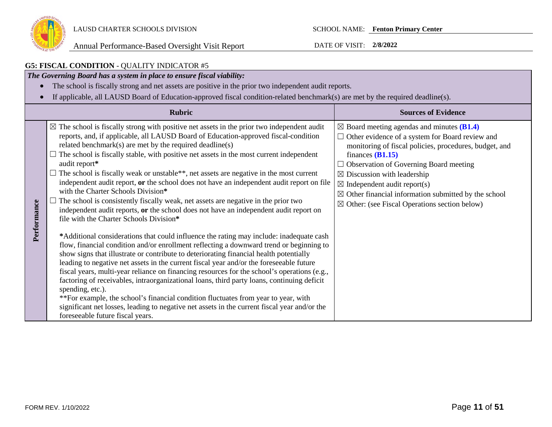

|             | <b>G5: FISCAL CONDITION - QUALITY INDICATOR #5</b>                                                                                                                                                                                                                                                                                                                                                                                                                                                                                                                                                                                                                                                                                                                                                                                                                                                                                                                                                                                                                                                                                                                                                                                                                                                                                                                                                                                                                                                                                                                                                                                                        |                                                                                                                                                                                                                                                                                                                                                                                                                                                                     |
|-------------|-----------------------------------------------------------------------------------------------------------------------------------------------------------------------------------------------------------------------------------------------------------------------------------------------------------------------------------------------------------------------------------------------------------------------------------------------------------------------------------------------------------------------------------------------------------------------------------------------------------------------------------------------------------------------------------------------------------------------------------------------------------------------------------------------------------------------------------------------------------------------------------------------------------------------------------------------------------------------------------------------------------------------------------------------------------------------------------------------------------------------------------------------------------------------------------------------------------------------------------------------------------------------------------------------------------------------------------------------------------------------------------------------------------------------------------------------------------------------------------------------------------------------------------------------------------------------------------------------------------------------------------------------------------|---------------------------------------------------------------------------------------------------------------------------------------------------------------------------------------------------------------------------------------------------------------------------------------------------------------------------------------------------------------------------------------------------------------------------------------------------------------------|
|             | The Governing Board has a system in place to ensure fiscal viability:                                                                                                                                                                                                                                                                                                                                                                                                                                                                                                                                                                                                                                                                                                                                                                                                                                                                                                                                                                                                                                                                                                                                                                                                                                                                                                                                                                                                                                                                                                                                                                                     |                                                                                                                                                                                                                                                                                                                                                                                                                                                                     |
|             | The school is fiscally strong and net assets are positive in the prior two independent audit reports.                                                                                                                                                                                                                                                                                                                                                                                                                                                                                                                                                                                                                                                                                                                                                                                                                                                                                                                                                                                                                                                                                                                                                                                                                                                                                                                                                                                                                                                                                                                                                     |                                                                                                                                                                                                                                                                                                                                                                                                                                                                     |
|             | If applicable, all LAUSD Board of Education-approved fiscal condition-related benchmark(s) are met by the required deadline(s).                                                                                                                                                                                                                                                                                                                                                                                                                                                                                                                                                                                                                                                                                                                                                                                                                                                                                                                                                                                                                                                                                                                                                                                                                                                                                                                                                                                                                                                                                                                           |                                                                                                                                                                                                                                                                                                                                                                                                                                                                     |
|             | <b>Rubric</b>                                                                                                                                                                                                                                                                                                                                                                                                                                                                                                                                                                                                                                                                                                                                                                                                                                                                                                                                                                                                                                                                                                                                                                                                                                                                                                                                                                                                                                                                                                                                                                                                                                             | <b>Sources of Evidence</b>                                                                                                                                                                                                                                                                                                                                                                                                                                          |
| Performance | $\boxtimes$ The school is fiscally strong with positive net assets in the prior two independent audit<br>reports, and, if applicable, all LAUSD Board of Education-approved fiscal-condition<br>related benchmark(s) are met by the required deadline(s)<br>$\Box$ The school is fiscally stable, with positive net assets in the most current independent<br>audit report*<br>The school is fiscally weak or unstable**, net assets are negative in the most current<br>independent audit report, or the school does not have an independent audit report on file<br>with the Charter Schools Division*<br>The school is consistently fiscally weak, net assets are negative in the prior two<br>independent audit reports, or the school does not have an independent audit report on<br>file with the Charter Schools Division*<br>*Additional considerations that could influence the rating may include: inadequate cash<br>flow, financial condition and/or enrollment reflecting a downward trend or beginning to<br>show signs that illustrate or contribute to deteriorating financial health potentially<br>leading to negative net assets in the current fiscal year and/or the foreseeable future<br>fiscal years, multi-year reliance on financing resources for the school's operations (e.g.,<br>factoring of receivables, intraorganizational loans, third party loans, continuing deficit<br>spending, etc.).<br>** For example, the school's financial condition fluctuates from year to year, with<br>significant net losses, leading to negative net assets in the current fiscal year and/or the<br>foreseeable future fiscal years. | $\boxtimes$ Board meeting agendas and minutes (B1.4)<br>$\Box$ Other evidence of a system for Board review and<br>monitoring of fiscal policies, procedures, budget, and<br>finances $(B1.15)$<br>$\Box$ Observation of Governing Board meeting<br>$\boxtimes$ Discussion with leadership<br>$\boxtimes$ Independent audit report(s)<br>$\boxtimes$ Other financial information submitted by the school<br>$\boxtimes$ Other: (see Fiscal Operations section below) |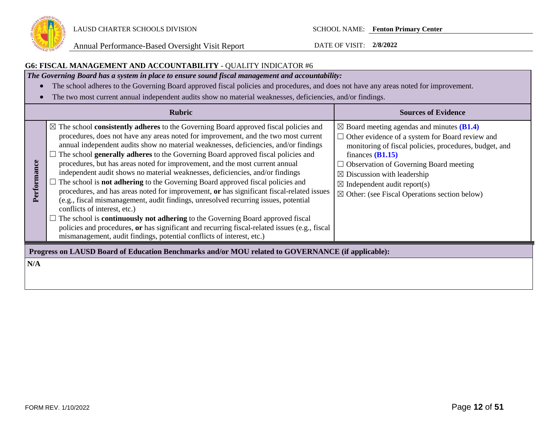

## **G6: FISCAL MANAGEMENT AND ACCOUNTABILITY** - QUALITY INDICATOR #6

*The Governing Board has a system in place to ensure sound fiscal management and accountability:*

- The school adheres to the Governing Board approved fiscal policies and procedures, and does not have any areas noted for improvement.
- The two most current annual independent audits show no material weaknesses, deficiencies, and/or findings.

|             | <b>Rubric</b>                                                                                                                                                                                                                                                                                                                                                                                                                                                                                                                                                                                                                                                                                                                                                                                                                                                                                                                                                                                                                                                                                                              | <b>Sources of Evidence</b>                                                                                                                                                                                                                                                                                                                                                                                |
|-------------|----------------------------------------------------------------------------------------------------------------------------------------------------------------------------------------------------------------------------------------------------------------------------------------------------------------------------------------------------------------------------------------------------------------------------------------------------------------------------------------------------------------------------------------------------------------------------------------------------------------------------------------------------------------------------------------------------------------------------------------------------------------------------------------------------------------------------------------------------------------------------------------------------------------------------------------------------------------------------------------------------------------------------------------------------------------------------------------------------------------------------|-----------------------------------------------------------------------------------------------------------------------------------------------------------------------------------------------------------------------------------------------------------------------------------------------------------------------------------------------------------------------------------------------------------|
| Performance | $\boxtimes$ The school <b>consistently adheres</b> to the Governing Board approved fiscal policies and<br>procedures, does not have any areas noted for improvement, and the two most current<br>annual independent audits show no material weaknesses, deficiencies, and/or findings<br>The school generally adheres to the Governing Board approved fiscal policies and<br>procedures, but has areas noted for improvement, and the most current annual<br>independent audit shows no material weaknesses, deficiencies, and/or findings<br>The school is <b>not adhering</b> to the Governing Board approved fiscal policies and<br>procedures, and has areas noted for improvement, or has significant fiscal-related issues<br>(e.g., fiscal mismanagement, audit findings, unresolved recurring issues, potential<br>conflicts of interest, etc.)<br>The school is <b>continuously not adhering</b> to the Governing Board approved fiscal<br>policies and procedures, or has significant and recurring fiscal-related issues (e.g., fiscal<br>mismanagement, audit findings, potential conflicts of interest, etc.) | $\boxtimes$ Board meeting agendas and minutes ( <b>B1.4</b> )<br>$\Box$ Other evidence of a system for Board review and<br>monitoring of fiscal policies, procedures, budget, and<br>finances $(B1.15)$<br>$\Box$ Observation of Governing Board meeting<br>$\boxtimes$ Discussion with leadership<br>$\boxtimes$ Independent audit report(s)<br>$\boxtimes$ Other: (see Fiscal Operations section below) |
| N/A         | Progress on LAUSD Board of Education Benchmarks and/or MOU related to GOVERNANCE (if applicable):                                                                                                                                                                                                                                                                                                                                                                                                                                                                                                                                                                                                                                                                                                                                                                                                                                                                                                                                                                                                                          |                                                                                                                                                                                                                                                                                                                                                                                                           |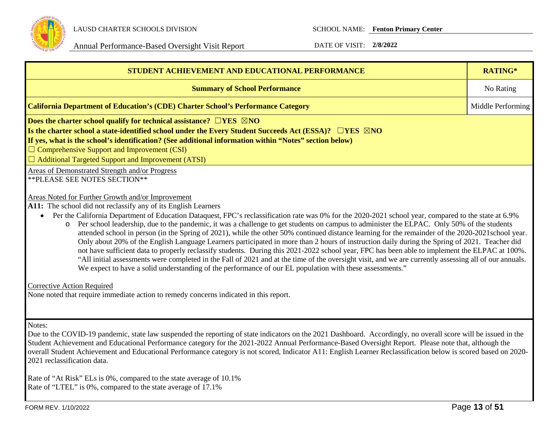

Annual Performance-Based Oversight Visit Report DATE OF VISIT: 2/8/2022

| STUDENT ACHIEVEMENT AND EDUCATIONAL PERFORMANCE<br><b>Summary of School Performance</b><br><b>California Department of Education's (CDE) Charter School's Performance Category</b><br>Does the charter school qualify for technical assistance? $\Box$ YES $\boxtimes$ NO<br>Is the charter school a state-identified school under the Every Student Succeeds Act (ESSA)? $\Box$ YES $\boxtimes$ NO<br>If yes, what is the school's identification? (See additional information within "Notes" section below)<br>$\Box$ Comprehensive Support and Improvement (CSI)<br>$\Box$ Additional Targeted Support and Improvement (ATSI)<br>Areas of Demonstrated Strength and/or Progress                                                                                                                                                                                                                                                                                                                                                                                                                                                                                                                                                                                                           |                   |  |  |  |  |
|----------------------------------------------------------------------------------------------------------------------------------------------------------------------------------------------------------------------------------------------------------------------------------------------------------------------------------------------------------------------------------------------------------------------------------------------------------------------------------------------------------------------------------------------------------------------------------------------------------------------------------------------------------------------------------------------------------------------------------------------------------------------------------------------------------------------------------------------------------------------------------------------------------------------------------------------------------------------------------------------------------------------------------------------------------------------------------------------------------------------------------------------------------------------------------------------------------------------------------------------------------------------------------------------|-------------------|--|--|--|--|
|                                                                                                                                                                                                                                                                                                                                                                                                                                                                                                                                                                                                                                                                                                                                                                                                                                                                                                                                                                                                                                                                                                                                                                                                                                                                                              | RATING*           |  |  |  |  |
|                                                                                                                                                                                                                                                                                                                                                                                                                                                                                                                                                                                                                                                                                                                                                                                                                                                                                                                                                                                                                                                                                                                                                                                                                                                                                              | No Rating         |  |  |  |  |
|                                                                                                                                                                                                                                                                                                                                                                                                                                                                                                                                                                                                                                                                                                                                                                                                                                                                                                                                                                                                                                                                                                                                                                                                                                                                                              | Middle Performing |  |  |  |  |
|                                                                                                                                                                                                                                                                                                                                                                                                                                                                                                                                                                                                                                                                                                                                                                                                                                                                                                                                                                                                                                                                                                                                                                                                                                                                                              |                   |  |  |  |  |
| ** PLEASE SEE NOTES SECTION**                                                                                                                                                                                                                                                                                                                                                                                                                                                                                                                                                                                                                                                                                                                                                                                                                                                                                                                                                                                                                                                                                                                                                                                                                                                                |                   |  |  |  |  |
| Areas Noted for Further Growth and/or Improvement<br>A11: The school did not reclassify any of its English Learners<br>Per the California Department of Education Dataquest, FPC's reclassification rate was 0% for the 2020-2021 school year, compared to the state at 6.9%<br>Per school leadership, due to the pandemic, it was a challenge to get students on campus to administer the ELPAC. Only 50% of the students<br>O<br>attended school in person (in the Spring of 2021), while the other 50% continued distance learning for the remainder of the 2020-2021 school year.<br>Only about 20% of the English Language Learners participated in more than 2 hours of instruction daily during the Spring of 2021. Teacher did<br>not have sufficient data to properly reclassify students. During this 2021-2022 school year, FPC has been able to implement the ELPAC at 100%.<br>"All initial assessments were completed in the Fall of 2021 and at the time of the oversight visit, and we are currently assessing all of our annuals.<br>We expect to have a solid understanding of the performance of our EL population with these assessments."<br><b>Corrective Action Required</b><br>None noted that require immediate action to remedy concerns indicated in this report. |                   |  |  |  |  |
| Notes:<br>Due to the COVID-19 pandemic, state law suspended the reporting of state indicators on the 2021 Dashboard. Accordingly, no overall score will be issued in the<br>Student Achievement and Educational Performance category for the 2021-2022 Annual Performance-Based Oversight Report. Please note that, although the<br>overall Student Achievement and Educational Performance category is not scored, Indicator A11: English Learner Reclassification below is scored based on 2020-<br>2021 reclassification data.<br>$\mathbf{D}_{\text{obs}}$ of " $\Lambda$ + $\mathbf{Di}$ <sub>2</sub> ", $\mathbf{EI}_{\text{obs}}$ 0% compared to the state average of 10.1%                                                                                                                                                                                                                                                                                                                                                                                                                                                                                                                                                                                                           |                   |  |  |  |  |

Rate of "At Risk" ELs is 0%, compared to the state average of 10.1% Rate of "LTEL" is 0%, compared to the state average of 17.1%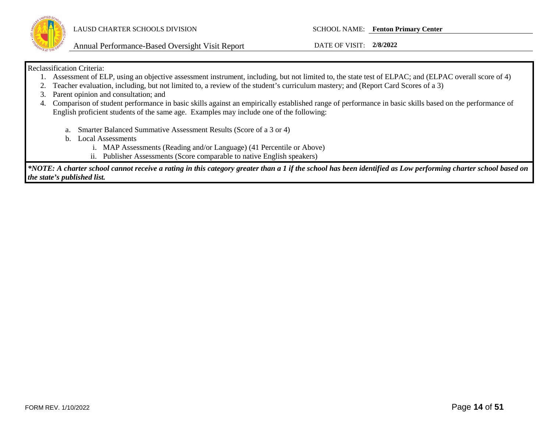

Annual Performance-Based Oversight Visit Report DATE OF VISIT: **2/8/2022**

#### Reclassification Criteria:

- 1. Assessment of ELP, using an objective assessment instrument, including, but not limited to, the state test of ELPAC; and (ELPAC overall score of 4)
- 2. Teacher evaluation, including, but not limited to, a review of the student's curriculum mastery; and (Report Card Scores of a 3)
- 3. Parent opinion and consultation; and
- 4. Comparison of student performance in basic skills against an empirically established range of performance in basic skills based on the performance of English proficient students of the same age. Examples may include one of the following:
	- a. Smarter Balanced Summative Assessment Results (Score of a 3 or 4)
	- b. Local Assessments
		- i. MAP Assessments (Reading and/or Language) (41 Percentile or Above)
		- ii. Publisher Assessments (Score comparable to native English speakers)

*\*NOTE: A charter school cannot receive a rating in this category greater than a 1 if the school has been identified as Low performing charter school based on the state's published list.*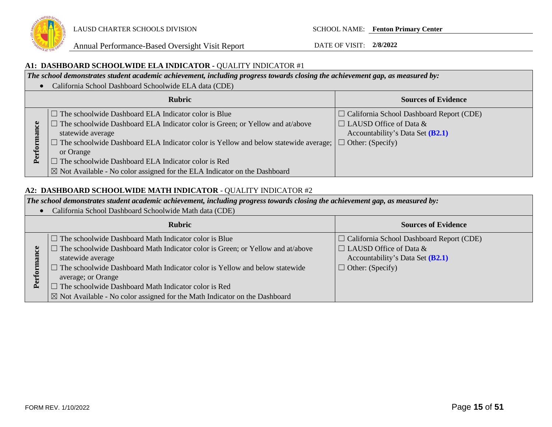

#### **A1: DASHBOARD SCHOOLWIDE ELA INDICATOR -** QUALITY INDICATOR #1

*The school demonstrates student academic achievement, including progress towards closing the achievement gap, as measured by:*

• California School Dashboard Schoolwide ELA data (CDE)

|               | <b>Rubric</b>                                                                                                                                                                                                                                                                                                                                                                                                                                             | <b>Sources of Evidence</b>                                                                                           |
|---------------|-----------------------------------------------------------------------------------------------------------------------------------------------------------------------------------------------------------------------------------------------------------------------------------------------------------------------------------------------------------------------------------------------------------------------------------------------------------|----------------------------------------------------------------------------------------------------------------------|
| බ<br>$\Delta$ | $\Box$ The schoolwide Dashboard ELA Indicator color is Blue<br>$\Box$ The schoolwide Dashboard ELA Indicator color is Green; or Yellow and at/above<br>statewide average<br>$\Box$ The schoolwide Dashboard ELA Indicator color is Yellow and below statewide average; $\Box$ Other: (Specify)<br>or Orange<br>$\Box$ The schoolwide Dashboard ELA Indicator color is Red<br>  ⊠ Not Available - No color assigned for the ELA Indicator on the Dashboard | $\Box$ California School Dashboard Report (CDE)<br>$\Box$ LAUSD Office of Data &<br>Accountability's Data Set (B2.1) |

#### **A2: DASHBOARD SCHOOLWIDE MATH INDICATOR** - QUALITY INDICATOR #2

*The school demonstrates student academic achievement, including progress towards closing the achievement gap, as measured by:*

• California School Dashboard Schoolwide Math data (CDE)

| <b>Rubric</b>                                                                         | <b>Sources of Evidence</b>                      |
|---------------------------------------------------------------------------------------|-------------------------------------------------|
| $\Box$ The schoolwide Dashboard Math Indicator color is Blue                          | $\Box$ California School Dashboard Report (CDE) |
| $\Box$ The schoolwide Dashboard Math Indicator color is Green; or Yellow and at/above | $\Box$ LAUSD Office of Data &                   |
| statewide average                                                                     | Accountability's Data Set (B2.1)                |
| $\Box$ The schoolwide Dashboard Math Indicator color is Yellow and below statewide    | $\Box$ Other: (Specify)                         |
| average; or Orange                                                                    |                                                 |
| $\Box$ The schoolwide Dashboard Math Indicator color is Red                           |                                                 |
| $\boxtimes$ Not Available - No color assigned for the Math Indicator on the Dashboard |                                                 |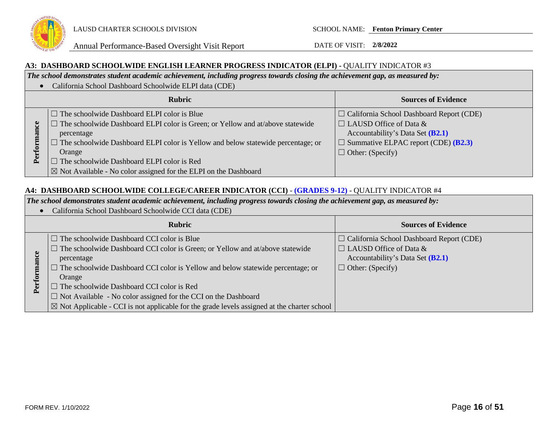

#### **A3: DASHBOARD SCHOOLWIDE ENGLISH LEARNER PROGRESS INDICATOR (ELPI) -** QUALITY INDICATOR #3

*The school demonstrates student academic achievement, including progress towards closing the achievement gap, as measured by:*

• California School Dashboard Schoolwide ELPI data (CDE)

|                                       | <b>Rubric</b>                                                                                                                                                                                                                                                                                                                                                                               | <b>Sources of Evidence</b>                                                                                                                                                                             |
|---------------------------------------|---------------------------------------------------------------------------------------------------------------------------------------------------------------------------------------------------------------------------------------------------------------------------------------------------------------------------------------------------------------------------------------------|--------------------------------------------------------------------------------------------------------------------------------------------------------------------------------------------------------|
| $\omega$<br>$\overline{\omega}$<br>ρ. | $\Box$ The schoolwide Dashboard ELPI color is Blue<br>$\Box$ The schoolwide Dashboard ELPI color is Green; or Yellow and at/above statewide<br>percentage<br>$\Box$ The schoolwide Dashboard ELPI color is Yellow and below statewide percentage; or<br>Orange<br>The schoolwide Dashboard ELPI color is Red<br>$\boxtimes$ Not Available - No color assigned for the ELPI on the Dashboard | $\Box$ California School Dashboard Report (CDE)<br>$\Box$ LAUSD Office of Data &<br>Accountability's Data Set (B2.1)<br>$\Box$ Summative ELPAC report (CDE) ( <b>B2.3</b> )<br>$\Box$ Other: (Specify) |

#### **A4: DASHBOARD SCHOOLWIDE COLLEGE/CAREER INDICATOR (CCI)** - **(GRADES 9-12)** - QUALITY INDICATOR #4

*The school demonstrates student academic achievement, including progress towards closing the achievement gap, as measured by:*

• California School Dashboard Schoolwide CCI data (CDE)

|                | <b>Rubric</b>                                                                                          | <b>Sources of Evidence</b>                      |
|----------------|--------------------------------------------------------------------------------------------------------|-------------------------------------------------|
|                | $\Box$ The schoolwide Dashboard CCI color is Blue                                                      | $\Box$ California School Dashboard Report (CDE) |
|                | $\Box$ The schoolwide Dashboard CCI color is Green; or Yellow and at/above statewide                   | $\Box$ LAUSD Office of Data &                   |
|                | percentage                                                                                             | Accountability's Data Set (B2.1)                |
|                | $\Box$ The schoolwide Dashboard CCI color is Yellow and below statewide percentage; or                 | $\Box$ Other: (Specify)                         |
|                | Orange                                                                                                 |                                                 |
| $\mathbf{P}$ ల | $\Box$ The schoolwide Dashboard CCI color is Red                                                       |                                                 |
|                | $\Box$ Not Available - No color assigned for the CCI on the Dashboard                                  |                                                 |
|                | $\boxtimes$ Not Applicable - CCI is not applicable for the grade levels assigned at the charter school |                                                 |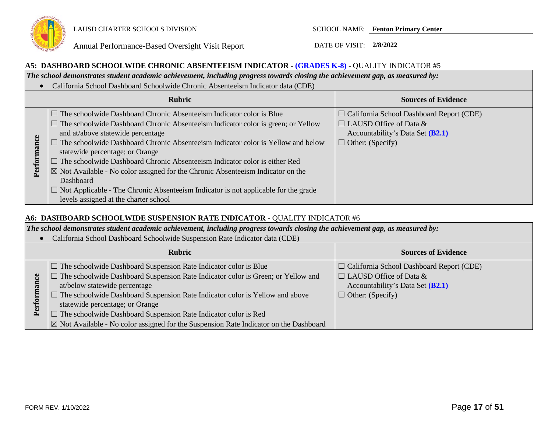

#### **A5: DASHBOARD SCHOOLWIDE CHRONIC ABSENTEEISM INDICATOR** - **(GRADES K-8)** - QUALITY INDICATOR #5

*The school demonstrates student academic achievement, including progress towards closing the achievement gap, as measured by:*

• California School Dashboard Schoolwide Chronic Absenteeism Indicator data (CDE)

|                                                                                                                                      | <b>Rubric</b>                                                                                                                                                                                                                                                                                                                                                                                                                                                                                                                                     | <b>Sources of Evidence</b>                                                                                                                        |
|--------------------------------------------------------------------------------------------------------------------------------------|---------------------------------------------------------------------------------------------------------------------------------------------------------------------------------------------------------------------------------------------------------------------------------------------------------------------------------------------------------------------------------------------------------------------------------------------------------------------------------------------------------------------------------------------------|---------------------------------------------------------------------------------------------------------------------------------------------------|
| and at/above statewide percentage<br>statewide percentage; or Orange<br>Perfor<br>Dashboard<br>levels assigned at the charter school | $\Box$ The schoolwide Dashboard Chronic Absenteeism Indicator color is Blue<br>$\Box$ The schoolwide Dashboard Chronic Absenteeism Indicator color is green; or Yellow<br>$\Box$ The schoolwide Dashboard Chronic Absenteeism Indicator color is Yellow and below<br>$\Box$ The schoolwide Dashboard Chronic Absenteeism Indicator color is either Red<br>$\boxtimes$ Not Available - No color assigned for the Chronic Absenteeism Indicator on the<br>$\Box$ Not Applicable - The Chronic Absenteeism Indicator is not applicable for the grade | $\Box$ California School Dashboard Report (CDE)<br>$\Box$ LAUSD Office of Data &<br>Accountability's Data Set $(B2.1)$<br>$\Box$ Other: (Specify) |

## **A6: DASHBOARD SCHOOLWIDE SUSPENSION RATE INDICATOR** - QUALITY INDICATOR #6

*The school demonstrates student academic achievement, including progress towards closing the achievement gap, as measured by:*

• California School Dashboard Schoolwide Suspension Rate Indicator data (CDE)

| <b>Rubric</b> |                                                                                                                                                                                                                                                                                                                                                                                                         | <b>Sources of Evidence</b>                                                                                                                      |  |  |
|---------------|---------------------------------------------------------------------------------------------------------------------------------------------------------------------------------------------------------------------------------------------------------------------------------------------------------------------------------------------------------------------------------------------------------|-------------------------------------------------------------------------------------------------------------------------------------------------|--|--|
| ≏             | $\Box$ The schoolwide Dashboard Suspension Rate Indicator color is Blue<br>$\Box$ The schoolwide Dashboard Suspension Rate Indicator color is Green; or Yellow and<br>at/below statewide percentage<br>$\Box$ The schoolwide Dashboard Suspension Rate Indicator color is Yellow and above<br>statewide percentage; or Orange<br>$\Box$ The schoolwide Dashboard Suspension Rate Indicator color is Red | $\Box$ California School Dashboard Report (CDE)<br>$\Box$ LAUSD Office of Data &<br>Accountability's Data Set (B2.1)<br>$\Box$ Other: (Specify) |  |  |
|               | $\boxtimes$ Not Available - No color assigned for the Suspension Rate Indicator on the Dashboard                                                                                                                                                                                                                                                                                                        |                                                                                                                                                 |  |  |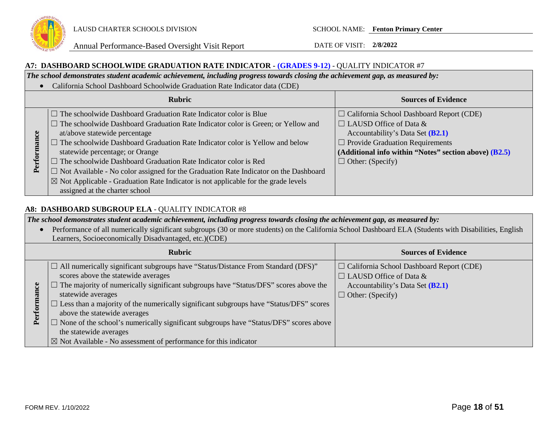

#### **A7: DASHBOARD SCHOOLWIDE GRADUATION RATE INDICATOR - (GRADES 9-12)** - QUALITY INDICATOR #7

*The school demonstrates student academic achievement, including progress towards closing the achievement gap, as measured by:*

• California School Dashboard Schoolwide Graduation Rate Indicator data (CDE)

| <b>Rubric</b>       |                                                                                                                                                                                                                                                                                                                                                                                                                                                                                                                                                                                                                                           | <b>Sources of Evidence</b>                                                                                                                                                                                                                             |
|---------------------|-------------------------------------------------------------------------------------------------------------------------------------------------------------------------------------------------------------------------------------------------------------------------------------------------------------------------------------------------------------------------------------------------------------------------------------------------------------------------------------------------------------------------------------------------------------------------------------------------------------------------------------------|--------------------------------------------------------------------------------------------------------------------------------------------------------------------------------------------------------------------------------------------------------|
| <b>lance</b><br>Per | $\Box$ The schoolwide Dashboard Graduation Rate Indicator color is Blue<br>$\Box$ The schoolwide Dashboard Graduation Rate Indicator color is Green; or Yellow and<br>at/above statewide percentage<br>$\Box$ The schoolwide Dashboard Graduation Rate Indicator color is Yellow and below<br>statewide percentage; or Orange<br>$\Box$ The schoolwide Dashboard Graduation Rate Indicator color is Red<br>$\Box$ Not Available - No color assigned for the Graduation Rate Indicator on the Dashboard<br>$\boxtimes$ Not Applicable - Graduation Rate Indicator is not applicable for the grade levels<br>assigned at the charter school | $\Box$ California School Dashboard Report (CDE)<br>$\Box$ LAUSD Office of Data &<br>Accountability's Data Set $(B2.1)$<br>$\Box$ Provide Graduation Requirements<br>(Additional info within "Notes" section above) $(B2.5)$<br>$\Box$ Other: (Specify) |

## **A8: DASHBOARD SUBGROUP ELA** - QUALITY INDICATOR #8

*The school demonstrates student academic achievement, including progress towards closing the achievement gap, as measured by:*

• Performance of all numerically significant subgroups (30 or more students) on the California School Dashboard ELA (Students with Disabilities, English Learners, Socioeconomically Disadvantaged, etc.)(CDE)

|              | <b>Rubric</b>                                                                                                                                                                                                                                                                                                                                                                                                                                                                                                                                                                                 | <b>Sources of Evidence</b>                                                                                                                      |
|--------------|-----------------------------------------------------------------------------------------------------------------------------------------------------------------------------------------------------------------------------------------------------------------------------------------------------------------------------------------------------------------------------------------------------------------------------------------------------------------------------------------------------------------------------------------------------------------------------------------------|-------------------------------------------------------------------------------------------------------------------------------------------------|
| $P_{\rm el}$ | $\Box$ All numerically significant subgroups have "Status/Distance From Standard (DFS)"<br>scores above the statewide averages<br>$\Box$ The majority of numerically significant subgroups have "Status/DFS" scores above the<br>statewide averages<br>$\Box$ Less than a majority of the numerically significant subgroups have "Status/DFS" scores<br>above the statewide averages<br>$\Box$ None of the school's numerically significant subgroups have "Status/DFS" scores above<br>the statewide averages<br>$\boxtimes$ Not Available - No assessment of performance for this indicator | $\Box$ California School Dashboard Report (CDE)<br>$\Box$ LAUSD Office of Data &<br>Accountability's Data Set (B2.1)<br>$\Box$ Other: (Specify) |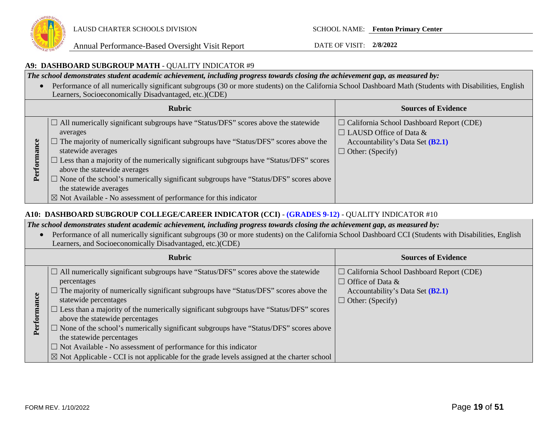

#### **A9: DASHBOARD SUBGROUP MATH** - QUALITY INDICATOR #9

*The school demonstrates student academic achievement, including progress towards closing the achievement gap, as measured by:*

• Performance of all numerically significant subgroups (30 or more students) on the California School Dashboard Math (Students with Disabilities, English Learners, Socioeconomically Disadvantaged, etc.)(CDE)

|             | <b>Rubric</b>                                                                                                                                                                                                                                                                                                                                                                                                                                                                                                                                                        | <b>Sources of Evidence</b>                                                                                                                      |
|-------------|----------------------------------------------------------------------------------------------------------------------------------------------------------------------------------------------------------------------------------------------------------------------------------------------------------------------------------------------------------------------------------------------------------------------------------------------------------------------------------------------------------------------------------------------------------------------|-------------------------------------------------------------------------------------------------------------------------------------------------|
| Performance | $\Box$ All numerically significant subgroups have "Status/DFS" scores above the statewide<br>averages<br>$\Box$ The majority of numerically significant subgroups have "Status/DFS" scores above the<br>statewide averages<br>$\Box$ Less than a majority of the numerically significant subgroups have "Status/DFS" scores<br>above the statewide averages<br>$\Box$ None of the school's numerically significant subgroups have "Status/DFS" scores above<br>the statewide averages<br>$\boxtimes$ Not Available - No assessment of performance for this indicator | $\Box$ California School Dashboard Report (CDE)<br>$\Box$ LAUSD Office of Data &<br>Accountability's Data Set (B2.1)<br>$\Box$ Other: (Specify) |

## **A10: DASHBOARD SUBGROUP COLLEGE/CAREER INDICATOR (CCI)** - **(GRADES 9-12)** - QUALITY INDICATOR #10

*The school demonstrates student academic achievement, including progress towards closing the achievement gap, as measured by:*

• Performance of all numerically significant subgroups (30 or more students) on the California School Dashboard CCI (Students with Disabilities, English Learners, and Socioeconomically Disadvantaged, etc.)(CDE)

|      | <b>Rubric</b>                                                                                                                                                                                                                                                                                                                                                                                                                                                                                                                                                                                                                                                                  | <b>Sources of Evidence</b>                                                                                                                  |
|------|--------------------------------------------------------------------------------------------------------------------------------------------------------------------------------------------------------------------------------------------------------------------------------------------------------------------------------------------------------------------------------------------------------------------------------------------------------------------------------------------------------------------------------------------------------------------------------------------------------------------------------------------------------------------------------|---------------------------------------------------------------------------------------------------------------------------------------------|
| Perl | $\Box$ All numerically significant subgroups have "Status/DFS" scores above the statewide<br>percentages<br>The majority of numerically significant subgroups have "Status/DFS" scores above the<br>statewide percentages<br>$\Box$ Less than a majority of the numerically significant subgroups have "Status/DFS" scores<br>above the statewide percentages<br>$\Box$ None of the school's numerically significant subgroups have "Status/DFS" scores above<br>the statewide percentages<br>$\Box$ Not Available - No assessment of performance for this indicator<br>$\boxtimes$ Not Applicable - CCI is not applicable for the grade levels assigned at the charter school | $\Box$ California School Dashboard Report (CDE)<br>$\Box$ Office of Data &<br>Accountability's Data Set $(B2.1)$<br>$\Box$ Other: (Specify) |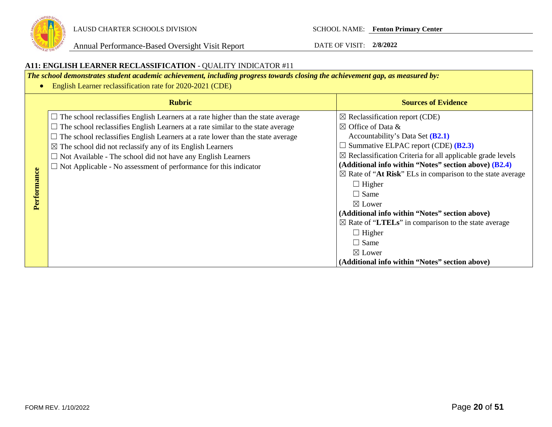

#### **A11: ENGLISH LEARNER RECLASSIFICATION** - QUALITY INDICATOR #11 *The school demonstrates student academic achievement, including progress towards closing the achievement gap, as measured by:* • English Learner reclassification rate for 2020-2021 (CDE) **Rubric Sources of Evidence**  $\Box$  The school reclassifies English Learners at a rate higher than the state average  $\boxtimes$  Reclassification report (CDE)  $\Box$  The school reclassifies English Learners at a rate similar to the state average  $\boxtimes$  Office of Data &  $\Box$  The school reclassifies English Learners at a rate lower than the state average Accountability's Data Set **(B2.1)** ☐ Summative ELPAC report (CDE) **(B2.3)**  $\boxtimes$  The school did not reclassify any of its English Learners  $\boxtimes$  Reclassification Criteria for all applicable grade levels  $\Box$  Not Available - The school did not have any English Learners **(Additional info within "Notes" section above) (B2.4)** ☐ Not Applicable - No assessment of performance for this indicator Performance **Performance**  $\boxtimes$  Rate of "At Risk" ELs in comparison to the state average  $\Box$  Higher  $\Box$  Same ☒ Lower **(Additional info within "Notes" section above)**  ☒ Rate of "**LTELs**" in comparison to the state average  $\Box$  Higher  $\Box$  Same ☒ Lower **(Additional info within "Notes" section above)**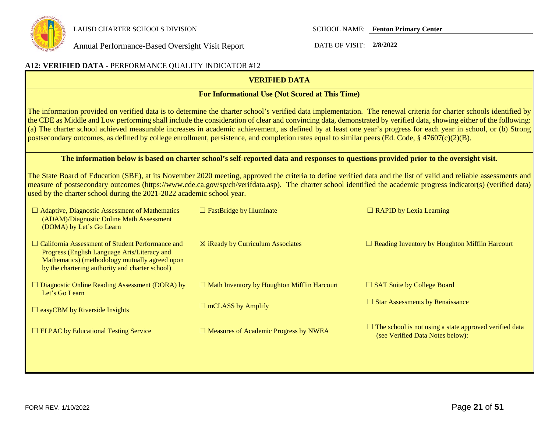

| A12: VERIFIED DATA - PERFORMANCE QUALITY INDICATOR #12                                                                                                                                                                                                                                                                                                                                                          |                                                                                                                                         |                                                                                                                                                                                                                                                                                                                                                                                                                                                                                                              |  |  |
|-----------------------------------------------------------------------------------------------------------------------------------------------------------------------------------------------------------------------------------------------------------------------------------------------------------------------------------------------------------------------------------------------------------------|-----------------------------------------------------------------------------------------------------------------------------------------|--------------------------------------------------------------------------------------------------------------------------------------------------------------------------------------------------------------------------------------------------------------------------------------------------------------------------------------------------------------------------------------------------------------------------------------------------------------------------------------------------------------|--|--|
|                                                                                                                                                                                                                                                                                                                                                                                                                 | <b>VERIFIED DATA</b>                                                                                                                    |                                                                                                                                                                                                                                                                                                                                                                                                                                                                                                              |  |  |
|                                                                                                                                                                                                                                                                                                                                                                                                                 | For Informational Use (Not Scored at This Time)                                                                                         |                                                                                                                                                                                                                                                                                                                                                                                                                                                                                                              |  |  |
| postsecondary outcomes, as defined by college enrollment, persistence, and completion rates equal to similar peers (Ed. Code, § 47607(c)(2)(B).                                                                                                                                                                                                                                                                 |                                                                                                                                         | The information provided on verified data is to determine the charter school's verified data implementation. The renewal criteria for charter schools identified by<br>the CDE as Middle and Low performing shall include the consideration of clear and convincing data, demonstrated by verified data, showing either of the following:<br>(a) The charter school achieved measurable increases in academic achievement, as defined by at least one year's progress for each year in school, or (b) Strong |  |  |
|                                                                                                                                                                                                                                                                                                                                                                                                                 | The information below is based on charter school's self-reported data and responses to questions provided prior to the oversight visit. |                                                                                                                                                                                                                                                                                                                                                                                                                                                                                                              |  |  |
| The State Board of Education (SBE), at its November 2020 meeting, approved the criteria to define verified data and the list of valid and reliable assessments and<br>measure of postsecondary outcomes (https://www.cde.ca.gov/sp/ch/verifdata.asp). The charter school identified the academic progress indicator(s) (verified data)<br>used by the charter school during the 2021-2022 academic school year. |                                                                                                                                         |                                                                                                                                                                                                                                                                                                                                                                                                                                                                                                              |  |  |
| $\Box$ Adaptive, Diagnostic Assessment of Mathematics<br>(ADAM)/Diagnostic Online Math Assessment<br>(DOMA) by Let's Go Learn                                                                                                                                                                                                                                                                                   | $\Box$ FastBridge by Illuminate                                                                                                         | $\Box$ RAPID by Lexia Learning                                                                                                                                                                                                                                                                                                                                                                                                                                                                               |  |  |
| □ California Assessment of Student Performance and<br>Progress (English Language Arts/Literacy and<br>Mathematics) (methodology mutually agreed upon<br>by the chartering authority and charter school)                                                                                                                                                                                                         | $\boxtimes$ iReady by Curriculum Associates                                                                                             | $\Box$ Reading Inventory by Houghton Mifflin Harcourt                                                                                                                                                                                                                                                                                                                                                                                                                                                        |  |  |
| $\Box$ Diagnostic Online Reading Assessment (DORA) by<br>Let's Go Learn                                                                                                                                                                                                                                                                                                                                         | $\Box$ Math Inventory by Houghton Mifflin Harcourt                                                                                      | $\Box$ SAT Suite by College Board                                                                                                                                                                                                                                                                                                                                                                                                                                                                            |  |  |
| $\Box$ easyCBM by Riverside Insights                                                                                                                                                                                                                                                                                                                                                                            | $\Box$ mCLASS by Amplify                                                                                                                | $\Box$ Star Assessments by Renaissance                                                                                                                                                                                                                                                                                                                                                                                                                                                                       |  |  |
| $\Box$ ELPAC by Educational Testing Service                                                                                                                                                                                                                                                                                                                                                                     | $\Box$ Measures of Academic Progress by NWEA                                                                                            | $\Box$ The school is not using a state approved verified data<br>(see Verified Data Notes below):                                                                                                                                                                                                                                                                                                                                                                                                            |  |  |
|                                                                                                                                                                                                                                                                                                                                                                                                                 |                                                                                                                                         |                                                                                                                                                                                                                                                                                                                                                                                                                                                                                                              |  |  |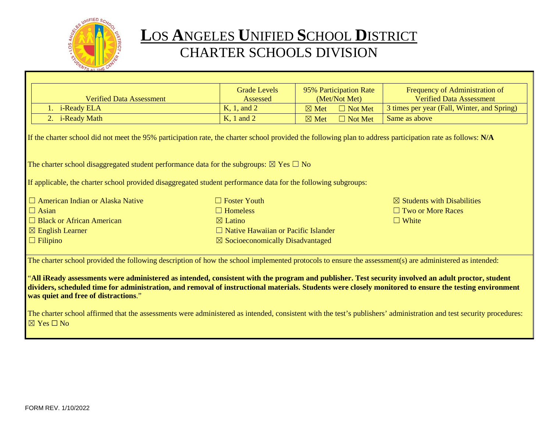

## **L**OS **A**NGELES **U**NIFIED **S**CHOOL **D**ISTRICT CHARTER SCHOOLS DIVISION

|                                                                                                                                                                                                                                                                                                                                                      | <b>Grade Levels</b> | 95% Participation Rate            | Frequency of Administration of              |  |
|------------------------------------------------------------------------------------------------------------------------------------------------------------------------------------------------------------------------------------------------------------------------------------------------------------------------------------------------------|---------------------|-----------------------------------|---------------------------------------------|--|
| <b>Verified Data Assessment</b>                                                                                                                                                                                                                                                                                                                      | Assessed            | (Met/Not Met)                     | <b>Verified Data Assessment</b>             |  |
| 1. i-Ready ELA                                                                                                                                                                                                                                                                                                                                       | K, 1, and 2         | $\boxtimes$ Met<br>$\Box$ Not Met | 3 times per year (Fall, Winter, and Spring) |  |
| 2. i-Ready Math                                                                                                                                                                                                                                                                                                                                      | $K$ , 1 and 2       | $\Box$ Not Met<br>$\boxtimes$ Met | Same as above                               |  |
| If the charter school did not meet the 95% participation rate, the charter school provided the following plan to address participation rate as follows: N/A                                                                                                                                                                                          |                     |                                   |                                             |  |
| The charter school disaggregated student performance data for the subgroups: $\boxtimes$ Yes $\Box$ No                                                                                                                                                                                                                                               |                     |                                   |                                             |  |
| If applicable, the charter school provided disaggregated student performance data for the following subgroups:                                                                                                                                                                                                                                       |                     |                                   |                                             |  |
| $\Box$ American Indian or Alaska Native                                                                                                                                                                                                                                                                                                              | $\Box$ Foster Youth |                                   | $\boxtimes$ Students with Disabilities      |  |
| $\Box$ Asian                                                                                                                                                                                                                                                                                                                                         | $\Box$ Homeless     |                                   | $\Box$ Two or More Races                    |  |
| $\Box$ Black or African American                                                                                                                                                                                                                                                                                                                     | $\boxtimes$ Latino  |                                   | $\Box$ White                                |  |
| $\boxtimes$ English Learner<br>$\Box$ Native Hawaiian or Pacific Islander                                                                                                                                                                                                                                                                            |                     |                                   |                                             |  |
| $\Box$ Filipino<br>$\boxtimes$ Socioeconomically Disadvantaged                                                                                                                                                                                                                                                                                       |                     |                                   |                                             |  |
| The charter school provided the following description of how the school implemented protocols to ensure the assessment(s) are administered as intended:                                                                                                                                                                                              |                     |                                   |                                             |  |
| "All iReady assessments were administered as intended, consistent with the program and publisher. Test security involved an adult proctor, student<br>dividers, scheduled time for administration, and removal of instructional materials. Students were closely monitored to ensure the testing environment<br>was quiet and free of distractions." |                     |                                   |                                             |  |
| The charter school affirmed that the assessments were administered as intended, consistent with the test's publishers' administration and test security procedures:<br>$\boxtimes$ Yes $\Box$ No                                                                                                                                                     |                     |                                   |                                             |  |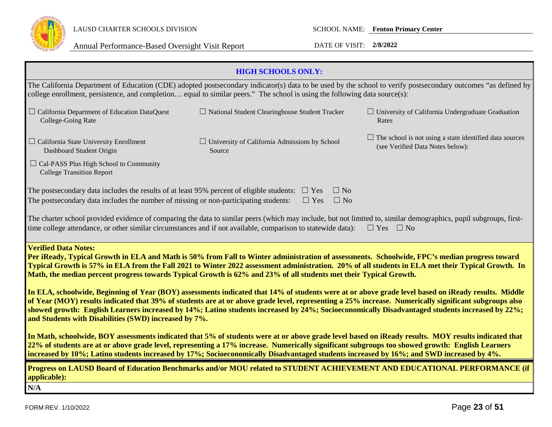

|                                                                                                                                                                                                                                                                                                                                                                                                                                                                                                                                                                                                               | <b>HIGH SCHOOLS ONLY:</b>                                      |                                                                                                                                                               |  |
|---------------------------------------------------------------------------------------------------------------------------------------------------------------------------------------------------------------------------------------------------------------------------------------------------------------------------------------------------------------------------------------------------------------------------------------------------------------------------------------------------------------------------------------------------------------------------------------------------------------|----------------------------------------------------------------|---------------------------------------------------------------------------------------------------------------------------------------------------------------|--|
| college enrollment, persistence, and completion equal to similar peers." The school is using the following data source(s):                                                                                                                                                                                                                                                                                                                                                                                                                                                                                    |                                                                | The California Department of Education (CDE) adopted postsecondary indicator(s) data to be used by the school to verify postsecondary outcomes "as defined by |  |
| $\Box$ California Department of Education DataQuest<br>College-Going Rate                                                                                                                                                                                                                                                                                                                                                                                                                                                                                                                                     | $\Box$ National Student Clearinghouse Student Tracker          | $\Box$ University of California Undergraduate Graduation<br>Rates                                                                                             |  |
| $\Box$ California State University Enrollment<br>Dashboard Student Origin                                                                                                                                                                                                                                                                                                                                                                                                                                                                                                                                     | $\Box$ University of California Admissions by School<br>Source | $\Box$ The school is not using a state identified data sources<br>(see Verified Data Notes below):                                                            |  |
| $\Box$ Cal-PASS Plus High School to Community<br><b>College Transition Report</b>                                                                                                                                                                                                                                                                                                                                                                                                                                                                                                                             |                                                                |                                                                                                                                                               |  |
| The postsecondary data includes the results of at least 95% percent of eligible students:<br>The postsecondary data includes the number of missing or non-participating students:                                                                                                                                                                                                                                                                                                                                                                                                                             | $\Box$ No<br>$\Box$ Yes<br>$\Box$ Yes<br>$\Box$ No             |                                                                                                                                                               |  |
| The charter school provided evidence of comparing the data to similar peers (which may include, but not limited to, similar demographics, pupil subgroups, first-<br>time college attendance, or other similar circumstances and if not available, comparison to statewide data):<br>$\Box$ Yes $\Box$ No                                                                                                                                                                                                                                                                                                     |                                                                |                                                                                                                                                               |  |
| <b>Verified Data Notes:</b><br>Per iReady, Typical Growth in ELA and Math is 50% from Fall to Winter administration of assessments. Schoolwide, FPC's median progress toward<br>Typical Growth is 57% in ELA from the Fall 2021 to Winter 2022 assessment administration. 20% of all students in ELA met their Typical Growth. In<br>Math, the median percent progress towards Typical Growth is 62% and 23% of all students met their Typical Growth.<br>In ELA, schoolwide, Beginning of Year (BOY) assessments indicated that 14% of students were at or above grade level based on iReady results. Middle |                                                                |                                                                                                                                                               |  |
| of Year (MOY) results indicated that 39% of students are at or above grade level, representing a 25% increase. Numerically significant subgroups also<br>showed growth: English Learners increased by 14%; Latino students increased by 24%; Socioeconomically Disadvantaged students increased by 22%;<br>and Students with Disabilities (SWD) increased by 7%.                                                                                                                                                                                                                                              |                                                                |                                                                                                                                                               |  |
| In Math, schoolwide, BOY assessments indicated that 5% of students were at or above grade level based on iReady results. MOY results indicated that<br>22% of students are at or above grade level, representing a 17% increase. Numerically significant subgroups too showed growth: English Learners<br>increased by 10%; Latino students increased by 17%; Socioeconomically Disadvantaged students increased by 16%; and SWD increased by 4%.                                                                                                                                                             |                                                                |                                                                                                                                                               |  |
| Progress on LAUSD Board of Education Benchmarks and/or MOU related to STUDENT ACHIEVEMENT AND EDUCATIONAL PERFORMANCE (if<br>applicable):                                                                                                                                                                                                                                                                                                                                                                                                                                                                     |                                                                |                                                                                                                                                               |  |
| N/A                                                                                                                                                                                                                                                                                                                                                                                                                                                                                                                                                                                                           |                                                                |                                                                                                                                                               |  |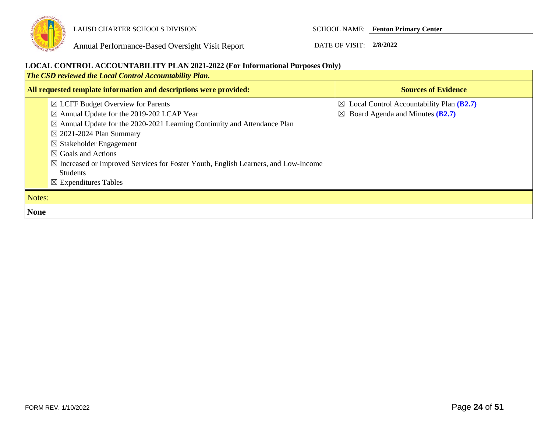

Annual Performance-Based Oversight Visit Report DATE OF VISIT: **2/8/2022**

#### **LOCAL CONTROL ACCOUNTABILITY PLAN 2021-2022 (For Informational Purposes Only)**

*The CSD reviewed the Local Control Accountability Plan.*  **All requested template information and descriptions were provided: Sources of Evidence Sources of Evidence** ☒ LCFF Budget Overview for Parents ☒ Annual Update for the 2019-202 LCAP Year  $\boxtimes$  Annual Update for the 2020-2021 Learning Continuity and Attendance Plan ☒ 2021-2024 Plan Summary ☒ Stakeholder Engagement ☒ Goals and Actions ☒ Increased or Improved Services for Foster Youth, English Learners, and Low-Income Students ☒ Expenditures Tables ☒ Local Control Accountability Plan **(B2.7)** ☒ Board Agenda and Minutes **(B2.7)** Notes: **None**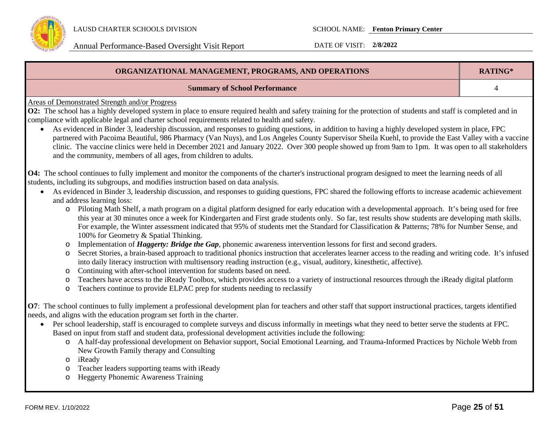

| ORGANIZATIONAL MANAGEMENT, PROGRAMS, AND OPERATIONS                                                                                                                     | RATING* |
|-------------------------------------------------------------------------------------------------------------------------------------------------------------------------|---------|
| <b>Summary of School Performance</b>                                                                                                                                    |         |
| Areas of Demonstrated Strength and/or Progress                                                                                                                          |         |
| <b>O2:</b> The school has a highly developed system in place to ensure required health and safety training for the protection of students and staff is completed and in |         |
| compliance with applicable legal and charter school requirements related to health and safety.                                                                          |         |

• As evidenced in Binder 3, leadership discussion, and responses to guiding questions, in addition to having a highly developed system in place, FPC partnered with Pacoima Beautiful, 986 Pharmacy (Van Nuys), and Los Angeles County Supervisor Sheila Kuehl, to provide the East Valley with a vaccine clinic. The vaccine clinics were held in December 2021 and January 2022. Over 300 people showed up from 9am to 1pm. It was open to all stakeholders and the community, members of all ages, from children to adults.

**O4:** The school continues to fully implement and monitor the components of the charter's instructional program designed to meet the learning needs of all students, including its subgroups, and modifies instruction based on data analysis.

- As evidenced in Binder 3, leadership discussion, and responses to guiding questions, FPC shared the following efforts to increase academic achievement and address learning loss:
	- o Piloting Math Shelf, a math program on a digital platform designed for early education with a developmental approach. It's being used for free this year at 30 minutes once a week for Kindergarten and First grade students only. So far, test results show students are developing math skills. For example, the Winter assessment indicated that 95% of students met the Standard for Classification & Patterns; 78% for Number Sense, and 100% for Geometry & Spatial Thinking.
	- o Implementation of *Haggerty: Bridge the Gap*, phonemic awareness intervention lessons for first and second graders.
	- o Secret Stories, a brain-based approach to traditional phonics instruction that accelerates learner access to the reading and writing code. It's infused into daily literacy instruction with multisensory reading instruction (e.g., visual, auditory, kinesthetic, affective).
	- o Continuing with after-school intervention for students based on need.
	- o Teachers have access to the iReady Toolbox, which provides access to a variety of instructional resources through the iReady digital platform
	- o Teachers continue to provide ELPAC prep for students needing to reclassify

**O7**: The school continues to fully implement a professional development plan for teachers and other staff that support instructional practices, targets identified needs, and aligns with the education program set forth in the charter.

- Per school leadership, staff is encouraged to complete surveys and discuss informally in meetings what they need to better serve the students at FPC. Based on input from staff and student data, professional development activities include the following:
	- o A half-day professional development on Behavior support, Social Emotional Learning, and Trauma-Informed Practices by Nichole Webb from New Growth Family therapy and Consulting
	- o iReady
	- o Teacher leaders supporting teams with iReady
	- o Heggerty Phonemic Awareness Training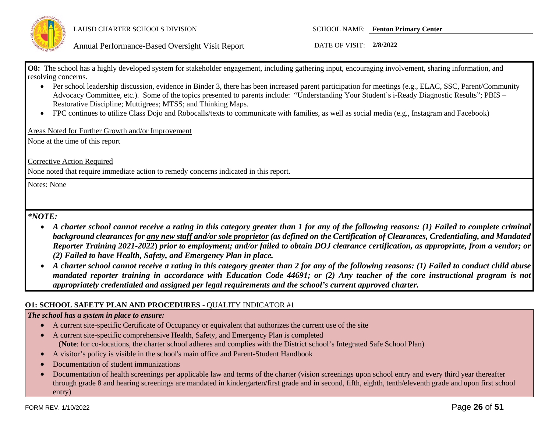

**O8:** The school has a highly developed system for stakeholder engagement, including gathering input, encouraging involvement, sharing information, and resolving concerns.

- Per school leadership discussion, evidence in Binder 3, there has been increased parent participation for meetings (e.g., ELAC, SSC, Parent/Community Advocacy Committee, etc.). Some of the topics presented to parents include: "Understanding Your Student's i-Ready Diagnostic Results"; PBIS – Restorative Discipline; Muttigrees; MTSS; and Thinking Maps.
- FPC continues to utilize Class Dojo and Robocalls/texts to communicate with families, as well as social media (e.g., Instagram and Facebook)

Areas Noted for Further Growth and/or Improvement

None at the time of this report

Corrective Action Required

None noted that require immediate action to remedy concerns indicated in this report.

Notes: None

*\*NOTE:* 

- *A charter school cannot receive a rating in this category greater than 1 for any of the following reasons: (1) Failed to complete criminal background clearances for any new staff and/or sole proprietor (as defined on the Certification of Clearances, Credentialing, and Mandated Reporter Training 2021-2022***)** *prior to employment; and/or failed to obtain DOJ clearance certification, as appropriate, from a vendor; or (2) Failed to have Health, Safety, and Emergency Plan in place.*
- *A charter school cannot receive a rating in this category greater than 2 for any of the following reasons: (1) Failed to conduct child abuse mandated reporter training in accordance with Education Code 44691; or (2) Any teacher of the core instructional program is not appropriately credentialed and assigned per legal requirements and the school's current approved charter.*

#### **O1: SCHOOL SAFETY PLAN AND PROCEDURES** - QUALITY INDICATOR #1

#### *The school has a system in place to ensure:*

- A current site-specific Certificate of Occupancy or equivalent that authorizes the current use of the site
- A current site-specific comprehensive Health, Safety, and Emergency Plan is completed (**Note**: for co-locations, the charter school adheres and complies with the District school's Integrated Safe School Plan)
- A visitor's policy is visible in the school's main office and Parent-Student Handbook
- Documentation of student immunizations
- Documentation of health screenings per applicable law and terms of the charter (vision screenings upon school entry and every third year thereafter through grade 8 and hearing screenings are mandated in kindergarten/first grade and in second, fifth, eighth, tenth/eleventh grade and upon first school entry)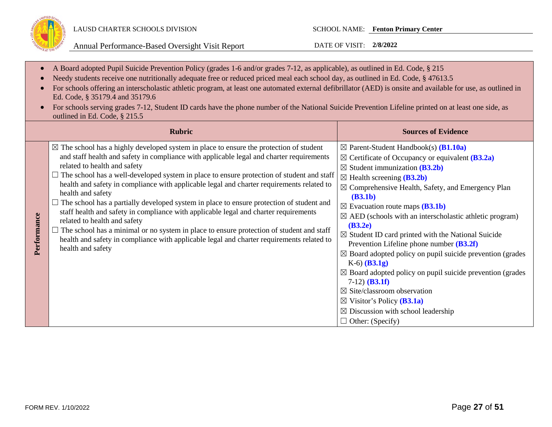

- A Board adopted Pupil Suicide Prevention Policy (grades 1-6 and/or grades 7-12, as applicable), as outlined in Ed. Code, § 215
- Needy students receive one nutritionally adequate free or reduced priced meal each school day, as outlined in Ed. Code, § 47613.5
- For schools offering an interscholastic athletic program, at least one automated external defibrillator (AED) is onsite and available for use, as outlined in Ed. Code, § 35179.4 and 35179.6
- For schools serving grades 7-12, Student ID cards have the phone number of the National Suicide Prevention Lifeline printed on at least one side, as outlined in Ed. Code, § 215.5

|             | <b>Rubric</b>                                                                                                                                                                                                                                                                                                                                                                                                                                                                                                                                                                                                                                                                                                                                                                                                                                                                                | <b>Sources of Evidence</b>                                                                                                                                                                                                                                                                                                                                                                                                                                                                                                                                                                                                                                                                                                                                                                                                                                                                                                        |
|-------------|----------------------------------------------------------------------------------------------------------------------------------------------------------------------------------------------------------------------------------------------------------------------------------------------------------------------------------------------------------------------------------------------------------------------------------------------------------------------------------------------------------------------------------------------------------------------------------------------------------------------------------------------------------------------------------------------------------------------------------------------------------------------------------------------------------------------------------------------------------------------------------------------|-----------------------------------------------------------------------------------------------------------------------------------------------------------------------------------------------------------------------------------------------------------------------------------------------------------------------------------------------------------------------------------------------------------------------------------------------------------------------------------------------------------------------------------------------------------------------------------------------------------------------------------------------------------------------------------------------------------------------------------------------------------------------------------------------------------------------------------------------------------------------------------------------------------------------------------|
| Performance | $\boxtimes$ The school has a highly developed system in place to ensure the protection of student<br>and staff health and safety in compliance with applicable legal and charter requirements<br>related to health and safety<br>The school has a well-developed system in place to ensure protection of student and staff<br>health and safety in compliance with applicable legal and charter requirements related to<br>health and safety<br>$\Box$ The school has a partially developed system in place to ensure protection of student and<br>staff health and safety in compliance with applicable legal and charter requirements<br>related to health and safety<br>$\Box$ The school has a minimal or no system in place to ensure protection of student and staff<br>health and safety in compliance with applicable legal and charter requirements related to<br>health and safety | $\boxtimes$ Parent-Student Handbook(s) ( <b>B1.10a</b> )<br>$\boxtimes$ Certificate of Occupancy or equivalent ( <b>B3.2a</b> )<br>$\boxtimes$ Student immunization ( <b>B3.2b</b> )<br>$\boxtimes$ Health screening ( <b>B3.2b</b> )<br>$\boxtimes$ Comprehensive Health, Safety, and Emergency Plan<br>(B3.1b)<br>$\boxtimes$ Evacuation route maps (B3.1b)<br>$\boxtimes$ AED (schools with an interscholastic athletic program)<br>(B3.2e)<br>$\boxtimes$ Student ID card printed with the National Suicide<br>Prevention Lifeline phone number $(B3.2f)$<br>$\boxtimes$ Board adopted policy on pupil suicide prevention (grades<br>$K-6$ (B3.1g)<br>$\boxtimes$ Board adopted policy on pupil suicide prevention (grades<br>$7-12)$ ( <b>B3.1f</b> )<br>$\boxtimes$ Site/classroom observation<br>$\boxtimes$ Visitor's Policy ( <b>B3.1a</b> )<br>$\boxtimes$ Discussion with school leadership<br>$\Box$ Other: (Specify) |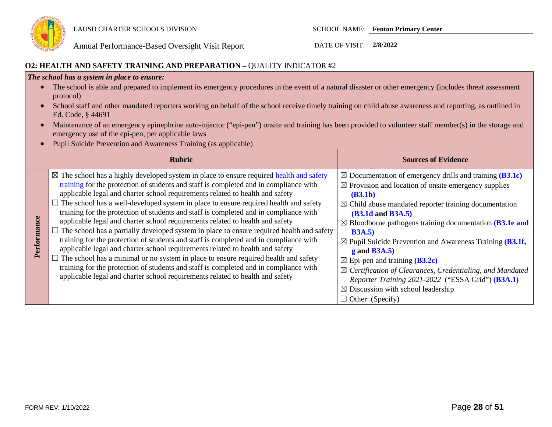

## **O2: HEALTH AND SAFETY TRAINING AND PREPARATION –** QUALITY INDICATOR #2

#### *The school has a system in place to ensure:*

- The school is able and prepared to implement its emergency procedures in the event of a natural disaster or other emergency (includes threat assessment protocol)
- School staff and other mandated reporters working on behalf of the school receive timely training on child abuse awareness and reporting, as outlined in Ed. Code, § 44691
- Maintenance of an emergency epinephrine auto-injector ("epi-pen") onsite and training has been provided to volunteer staff member(s) in the storage and emergency use of the epi-pen, per applicable laws
- Pupil Suicide Prevention and Awareness Training (as applicable)

|             | <b>Rubric</b>                                                                                                                                                                                                                                                                                                                                                                                                                                                                                                                                                                                                                                                                                                                                                                                                                                                                                                                                                                                                                                                                                 | <b>Sources of Evidence</b>                                                                                                                                                                                                                                                                                                                                                                                                                                                                                                                                                                                                                                                                              |
|-------------|-----------------------------------------------------------------------------------------------------------------------------------------------------------------------------------------------------------------------------------------------------------------------------------------------------------------------------------------------------------------------------------------------------------------------------------------------------------------------------------------------------------------------------------------------------------------------------------------------------------------------------------------------------------------------------------------------------------------------------------------------------------------------------------------------------------------------------------------------------------------------------------------------------------------------------------------------------------------------------------------------------------------------------------------------------------------------------------------------|---------------------------------------------------------------------------------------------------------------------------------------------------------------------------------------------------------------------------------------------------------------------------------------------------------------------------------------------------------------------------------------------------------------------------------------------------------------------------------------------------------------------------------------------------------------------------------------------------------------------------------------------------------------------------------------------------------|
| Performance | $\boxtimes$ The school has a highly developed system in place to ensure required health and safety<br>training for the protection of students and staff is completed and in compliance with<br>applicable legal and charter school requirements related to health and safety<br>The school has a well-developed system in place to ensure required health and safety<br>training for the protection of students and staff is completed and in compliance with<br>applicable legal and charter school requirements related to health and safety<br>$\Box$ The school has a partially developed system in place to ensure required health and safety<br>training for the protection of students and staff is completed and in compliance with<br>applicable legal and charter school requirements related to health and safety<br>The school has a minimal or no system in place to ensure required health and safety<br>training for the protection of students and staff is completed and in compliance with<br>applicable legal and charter school requirements related to health and safety | $\boxtimes$ Documentation of emergency drills and training (B3.1c)<br>$\boxtimes$ Provision and location of onsite emergency supplies<br>(B3.1b)<br>$\boxtimes$ Child abuse mandated reporter training documentation<br><b>(B3.1d and B3A.5)</b><br>$\boxtimes$ Bloodborne pathogens training documentation ( <b>B3.1e and</b><br><b>B3A.5</b> )<br>$\boxtimes$ Pupil Suicide Prevention and Awareness Training (B3.1f,<br>$g$ and B3A.5)<br>$\boxtimes$ Epi-pen and training ( <b>B3.2c</b> )<br>$\boxtimes$ Certification of Clearances, Credentialing, and Mandated<br>Reporter Training 2021-2022 ("ESSA Grid") (B3A.1)<br>$\boxtimes$ Discussion with school leadership<br>$\Box$ Other: (Specify) |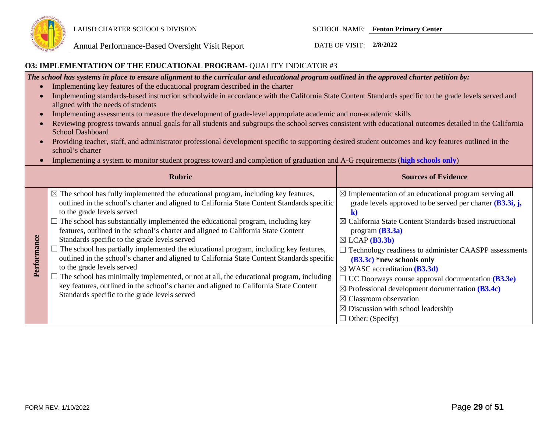

#### **O3: IMPLEMENTATION OF THE EDUCATIONAL PROGRAM**- QUALITY INDICATOR #3

*The school has systems in place to ensure alignment to the curricular and educational program outlined in the approved charter petition by:*

- Implementing key features of the educational program described in the charter
- Implementing standards-based instruction schoolwide in accordance with the California State Content Standards specific to the grade levels served and aligned with the needs of students
- Implementing assessments to measure the development of grade-level appropriate academic and non-academic skills
- Reviewing progress towards annual goals for all students and subgroups the school serves consistent with educational outcomes detailed in the California School Dashboard
- Providing teacher, staff, and administrator professional development specific to supporting desired student outcomes and key features outlined in the school's charter
- Implementing a system to monitor student progress toward and completion of graduation and A-G requirements (**high schools only**)

|             | <b>Rubric</b>                                                                                                                                                                                                                                                                                                                                                                                                                                                                                                                                                                                                                                                                                                                                                                                                                                                                                                           | <b>Sources of Evidence</b>                                                                                                                                                                                                                                                                                                                                                                                                                                                                                                                                                                                                                                 |
|-------------|-------------------------------------------------------------------------------------------------------------------------------------------------------------------------------------------------------------------------------------------------------------------------------------------------------------------------------------------------------------------------------------------------------------------------------------------------------------------------------------------------------------------------------------------------------------------------------------------------------------------------------------------------------------------------------------------------------------------------------------------------------------------------------------------------------------------------------------------------------------------------------------------------------------------------|------------------------------------------------------------------------------------------------------------------------------------------------------------------------------------------------------------------------------------------------------------------------------------------------------------------------------------------------------------------------------------------------------------------------------------------------------------------------------------------------------------------------------------------------------------------------------------------------------------------------------------------------------------|
| Performance | $\boxtimes$ The school has fully implemented the educational program, including key features,<br>outlined in the school's charter and aligned to California State Content Standards specific<br>to the grade levels served<br>$\Box$ The school has substantially implemented the educational program, including key<br>features, outlined in the school's charter and aligned to California State Content<br>Standards specific to the grade levels served<br>The school has partially implemented the educational program, including key features,<br>outlined in the school's charter and aligned to California State Content Standards specific<br>to the grade levels served<br>The school has minimally implemented, or not at all, the educational program, including<br>key features, outlined in the school's charter and aligned to California State Content<br>Standards specific to the grade levels served | $\boxtimes$ Implementation of an educational program serving all<br>grade levels approved to be served per charter $(B3.3i, j,$<br>ĸ<br>$\boxtimes$ California State Content Standards-based instructional<br>program $(B3.3a)$<br>$\boxtimes$ LCAP ( <b>B3.3b</b> )<br>Technology readiness to administer CAASPP assessments<br>$(B3.3c)$ *new schools only<br>$\boxtimes$ WASC accreditation (B3.3d)<br>$\Box$ UC Doorways course approval documentation ( <b>B3.3e</b> )<br>$\boxtimes$ Professional development documentation (B3.4c)<br>$\boxtimes$ Classroom observation<br>$\boxtimes$ Discussion with school leadership<br>$\Box$ Other: (Specify) |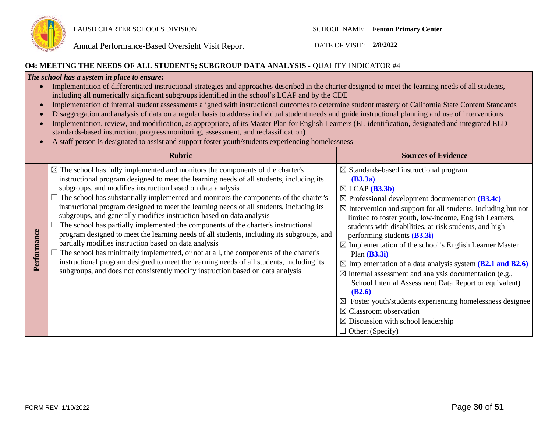

#### **O4: MEETING THE NEEDS OF ALL STUDENTS; SUBGROUP DATA ANALYSIS -** QUALITY INDICATOR #4

#### *The school has a system in place to ensure:*

| Implementation of differentiated instructional strategies and approaches described in the charter designed to meet the learning needs of all students, |
|--------------------------------------------------------------------------------------------------------------------------------------------------------|
| including all numerically significant subgroups identified in the school's LCAP and by the CDE                                                         |

- Implementation of internal student assessments aligned with instructional outcomes to determine student mastery of California State Content Standards
- Disaggregation and analysis of data on a regular basis to address individual student needs and guide instructional planning and use of interventions
- Implementation, review, and modification, as appropriate, of its Master Plan for English Learners (EL identification, designated and integrated ELD standards-based instruction, progress monitoring, assessment, and reclassification)
- A staff person is designated to assist and support foster youth/students experiencing homelessness

|             | <b>Rubric</b>                                                                                                                                                                                                                                                                                                                                                                                                                                                                                                                                                                                                                                                                                                                                                                                                                                                                                                                                                                                                                      | <b>Sources of Evidence</b>                                                                                                                                                                                                                                                                                                                                                                                                                                                                                                                                                                                                                                                                                                                                                                                                                                                           |
|-------------|------------------------------------------------------------------------------------------------------------------------------------------------------------------------------------------------------------------------------------------------------------------------------------------------------------------------------------------------------------------------------------------------------------------------------------------------------------------------------------------------------------------------------------------------------------------------------------------------------------------------------------------------------------------------------------------------------------------------------------------------------------------------------------------------------------------------------------------------------------------------------------------------------------------------------------------------------------------------------------------------------------------------------------|--------------------------------------------------------------------------------------------------------------------------------------------------------------------------------------------------------------------------------------------------------------------------------------------------------------------------------------------------------------------------------------------------------------------------------------------------------------------------------------------------------------------------------------------------------------------------------------------------------------------------------------------------------------------------------------------------------------------------------------------------------------------------------------------------------------------------------------------------------------------------------------|
| Performance | $\boxtimes$ The school has fully implemented and monitors the components of the charter's<br>instructional program designed to meet the learning needs of all students, including its<br>subgroups, and modifies instruction based on data analysis<br>The school has substantially implemented and monitors the components of the charter's<br>instructional program designed to meet the learning needs of all students, including its<br>subgroups, and generally modifies instruction based on data analysis<br>The school has partially implemented the components of the charter's instructional<br>program designed to meet the learning needs of all students, including its subgroups, and<br>partially modifies instruction based on data analysis<br>The school has minimally implemented, or not at all, the components of the charter's<br>instructional program designed to meet the learning needs of all students, including its<br>subgroups, and does not consistently modify instruction based on data analysis | $\boxtimes$ Standards-based instructional program<br>(B3.3a)<br>$\boxtimes$ LCAP ( <b>B3.3b</b> )<br>$\boxtimes$ Professional development documentation (B3.4c)<br>$\boxtimes$ Intervention and support for all students, including but not<br>limited to foster youth, low-income, English Learners,<br>students with disabilities, at-risk students, and high<br>performing students $(B3.3i)$<br>$\boxtimes$ Implementation of the school's English Learner Master<br>Plan $(B3.3i)$<br>$\boxtimes$ Implementation of a data analysis system (B2.1 and B2.6)<br>$\boxtimes$ Internal assessment and analysis documentation (e.g.,<br>School Internal Assessment Data Report or equivalent)<br>(B2.6)<br>Foster youth/students experiencing homelessness designee<br>$\boxtimes$ Classroom observation<br>$\boxtimes$ Discussion with school leadership<br>$\Box$ Other: (Specify) |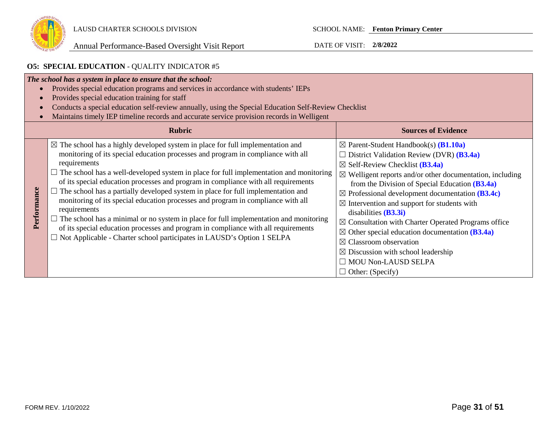

## **O5: SPECIAL EDUCATION** - QUALITY INDICATOR #5

| $\bullet$   | The school has a system in place to ensure that the school:<br>Provides special education programs and services in accordance with students' IEPs<br>Provides special education training for staff<br>Conducts a special education self-review annually, using the Special Education Self-Review Checklist<br>Maintains timely IEP timeline records and accurate service provision records in Welligent                                                                                                                                                                                                                                                                                                                                                                                                                                                    |                                                                                                                                                                                                                                                                                                                                                                                                                                                                                                                                                                                                                                                                                                                |
|-------------|------------------------------------------------------------------------------------------------------------------------------------------------------------------------------------------------------------------------------------------------------------------------------------------------------------------------------------------------------------------------------------------------------------------------------------------------------------------------------------------------------------------------------------------------------------------------------------------------------------------------------------------------------------------------------------------------------------------------------------------------------------------------------------------------------------------------------------------------------------|----------------------------------------------------------------------------------------------------------------------------------------------------------------------------------------------------------------------------------------------------------------------------------------------------------------------------------------------------------------------------------------------------------------------------------------------------------------------------------------------------------------------------------------------------------------------------------------------------------------------------------------------------------------------------------------------------------------|
|             | <b>Rubric</b>                                                                                                                                                                                                                                                                                                                                                                                                                                                                                                                                                                                                                                                                                                                                                                                                                                              | <b>Sources of Evidence</b>                                                                                                                                                                                                                                                                                                                                                                                                                                                                                                                                                                                                                                                                                     |
| Performance | $\boxtimes$ The school has a highly developed system in place for full implementation and<br>monitoring of its special education processes and program in compliance with all<br>requirements<br>$\Box$ The school has a well-developed system in place for full implementation and monitoring<br>of its special education processes and program in compliance with all requirements<br>$\Box$ The school has a partially developed system in place for full implementation and<br>monitoring of its special education processes and program in compliance with all<br>requirements<br>$\Box$ The school has a minimal or no system in place for full implementation and monitoring<br>of its special education processes and program in compliance with all requirements<br>$\Box$ Not Applicable - Charter school participates in LAUSD's Option 1 SELPA | $\boxtimes$ Parent-Student Handbook(s) ( <b>B1.10a</b> )<br>District Validation Review (DVR) (B3.4a)<br>$\boxtimes$ Self-Review Checklist ( <b>B3.4a</b> )<br>$\boxtimes$ Welligent reports and/or other documentation, including<br>from the Division of Special Education $(B3.4a)$<br>$\boxtimes$ Professional development documentation (B3.4c)<br>$\boxtimes$ Intervention and support for students with<br>disabilities $(B3.3i)$<br>$\boxtimes$ Consultation with Charter Operated Programs office<br>$\boxtimes$ Other special education documentation (B3.4a)<br>$\boxtimes$ Classroom observation<br>$\boxtimes$ Discussion with school leadership<br><b>MOU Non-LAUSD SELPA</b><br>Other: (Specify) |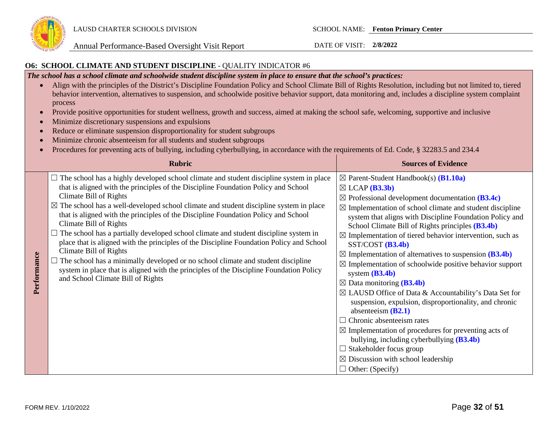

#### **O6: SCHOOL CLIMATE AND STUDENT DISCIPLINE** - QUALITY INDICATOR #6

*The school has a school climate and schoolwide student discipline system in place to ensure that the school's practices:* 

- Align with the principles of the District's Discipline Foundation Policy and School Climate Bill of Rights Resolution, including but not limited to, tiered behavior intervention, alternatives to suspension, and schoolwide positive behavior support, data monitoring and, includes a discipline system complaint process
- Provide positive opportunities for student wellness, growth and success, aimed at making the school safe, welcoming, supportive and inclusive
- Minimize discretionary suspensions and expulsions
- Reduce or eliminate suspension disproportionality for student subgroups
- Minimize chronic absenteeism for all students and student subgroups
- Procedures for preventing acts of bullying, including cyberbullying, in accordance with the requirements of Ed. Code, § 32283.5 and 234.4

|             | <b>Rubric</b>                                                                                                                                                                                                                                                                                                                                                                                                                                                                                                                                                                                                                                                                                                                                                                                                                                                         | <b>Sources of Evidence</b>                                                                                                                                                                                                                                                                                                                                                                                                                                                                                                                                                                                                                                                                                                                                                                                                                                                                                                                                                                                                                                                   |
|-------------|-----------------------------------------------------------------------------------------------------------------------------------------------------------------------------------------------------------------------------------------------------------------------------------------------------------------------------------------------------------------------------------------------------------------------------------------------------------------------------------------------------------------------------------------------------------------------------------------------------------------------------------------------------------------------------------------------------------------------------------------------------------------------------------------------------------------------------------------------------------------------|------------------------------------------------------------------------------------------------------------------------------------------------------------------------------------------------------------------------------------------------------------------------------------------------------------------------------------------------------------------------------------------------------------------------------------------------------------------------------------------------------------------------------------------------------------------------------------------------------------------------------------------------------------------------------------------------------------------------------------------------------------------------------------------------------------------------------------------------------------------------------------------------------------------------------------------------------------------------------------------------------------------------------------------------------------------------------|
| Performance | $\Box$ The school has a highly developed school climate and student discipline system in place<br>that is aligned with the principles of the Discipline Foundation Policy and School<br>Climate Bill of Rights<br>$\boxtimes$ The school has a well-developed school climate and student discipline system in place<br>that is aligned with the principles of the Discipline Foundation Policy and School<br>Climate Bill of Rights<br>The school has a partially developed school climate and student discipline system in<br>place that is aligned with the principles of the Discipline Foundation Policy and School<br>Climate Bill of Rights<br>The school has a minimally developed or no school climate and student discipline<br>system in place that is aligned with the principles of the Discipline Foundation Policy<br>and School Climate Bill of Rights | $\boxtimes$ Parent-Student Handbook(s) ( <b>B1.10a</b> )<br>$\boxtimes$ LCAP (B3.3b)<br>$\boxtimes$ Professional development documentation (B3.4c)<br>$\boxtimes$ Implementation of school climate and student discipline<br>system that aligns with Discipline Foundation Policy and<br>School Climate Bill of Rights principles (B3.4b)<br>$\boxtimes$ Implementation of tiered behavior intervention, such as<br>$SST/COST$ ( <b>B3.4b</b> )<br>$\boxtimes$ Implementation of alternatives to suspension (B3.4b)<br>$\boxtimes$ Implementation of schoolwide positive behavior support<br>system $(B3.4b)$<br>$\boxtimes$ Data monitoring (B3.4b)<br>$\boxtimes$ LAUSD Office of Data & Accountability's Data Set for<br>suspension, expulsion, disproportionality, and chronic<br>absenteeism $(B2.1)$<br>$\Box$ Chronic absenteeism rates<br>$\boxtimes$ Implementation of procedures for preventing acts of<br>bullying, including cyberbullying (B3.4b)<br>$\Box$ Stakeholder focus group<br>$\boxtimes$ Discussion with school leadership<br>$\Box$ Other: (Specify) |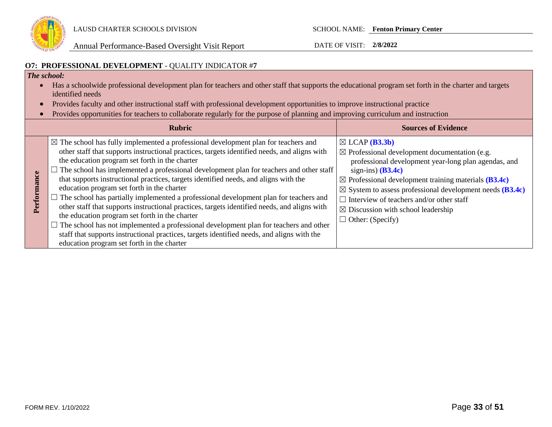

Annual Performance-Based Oversight Visit Report DATE OF VISIT: **2/8/2022**

### **O7: PROFESSIONAL DEVELOPMENT** - QUALITY INDICATOR #**7**

### *The school:*

- Has a schoolwide professional development plan for teachers and other staff that supports the educational program set forth in the charter and targets identified needs
- Provides faculty and other instructional staff with professional development opportunities to improve instructional practice
- Provides opportunities for teachers to collaborate regularly for the purpose of planning and improving curriculum and instruction

| <b>Rubric</b>                                                                                                                                                                                                                                                                                                                                                                                                                                                                                                                                                                                                                                                                                                                                                                                                                                                                                                                                                           | <b>Sources of Evidence</b>                                                                                                                                                                                                                                                                                                                                                                                                              |
|-------------------------------------------------------------------------------------------------------------------------------------------------------------------------------------------------------------------------------------------------------------------------------------------------------------------------------------------------------------------------------------------------------------------------------------------------------------------------------------------------------------------------------------------------------------------------------------------------------------------------------------------------------------------------------------------------------------------------------------------------------------------------------------------------------------------------------------------------------------------------------------------------------------------------------------------------------------------------|-----------------------------------------------------------------------------------------------------------------------------------------------------------------------------------------------------------------------------------------------------------------------------------------------------------------------------------------------------------------------------------------------------------------------------------------|
| $\boxtimes$ The school has fully implemented a professional development plan for teachers and<br>other staff that supports instructional practices, targets identified needs, and aligns with<br>the education program set forth in the charter<br>The school has implemented a professional development plan for teachers and other staff<br>that supports instructional practices, targets identified needs, and aligns with the<br>education program set forth in the charter<br>The school has partially implemented a professional development plan for teachers and<br>other staff that supports instructional practices, targets identified needs, and aligns with<br>the education program set forth in the charter<br>$\Box$ The school has not implemented a professional development plan for teachers and other<br>staff that supports instructional practices, targets identified needs, and aligns with the<br>education program set forth in the charter | $\boxtimes$ LCAP ( <b>B3.3b</b> )<br>$\boxtimes$ Professional development documentation (e.g.<br>professional development year-long plan agendas, and<br>sign-ins) $(B3.4c)$<br>$\boxtimes$ Professional development training materials (B3.4c)<br>$\boxtimes$ System to assess professional development needs (B3.4c)<br>Interview of teachers and/or other staff<br>$\boxtimes$ Discussion with school leadership<br>Other: (Specify) |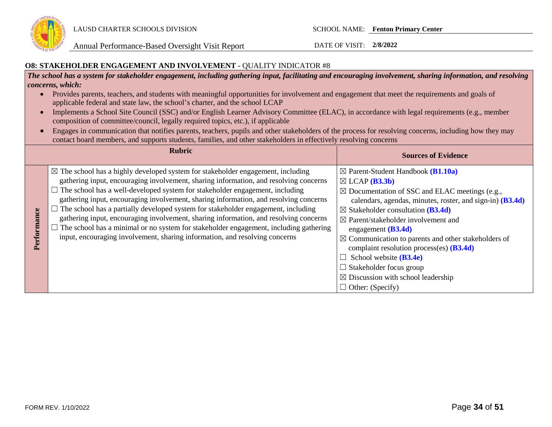

Annual Performance-Based Oversight Visit Report DATE OF VISIT: **2/8/2022**

#### **O8: STAKEHOLDER ENGAGEMENT AND INVOLVEMENT** - QUALITY INDICATOR #8

*The school has a system for stakeholder engagement, including gathering input, facilitating and encouraging involvement, sharing information, and resolving concerns, which:*

- Provides parents, teachers, and students with meaningful opportunities for involvement and engagement that meet the requirements and goals of applicable federal and state law, the school's charter, and the school LCAP
- Implements a School Site Council (SSC) and/or English Learner Advisory Committee (ELAC), in accordance with legal requirements (e.g., member composition of committee/council, legally required topics, etc.), if applicable
- Engages in communication that notifies parents, teachers, pupils and other stakeholders of the process for resolving concerns, including how they may contact board members, and supports students, families, and other stakeholders in effectively resolving concerns

|                 | <b>Rubric</b>                                                                                                                                                                                                                                                                                                                                                                                                                                                                                                                                                                                                                                                                                                             | <b>Sources of Evidence</b>                                                                                                                                                                                                                                                                                                                                                                                                                                                                                                                                                                                      |
|-----------------|---------------------------------------------------------------------------------------------------------------------------------------------------------------------------------------------------------------------------------------------------------------------------------------------------------------------------------------------------------------------------------------------------------------------------------------------------------------------------------------------------------------------------------------------------------------------------------------------------------------------------------------------------------------------------------------------------------------------------|-----------------------------------------------------------------------------------------------------------------------------------------------------------------------------------------------------------------------------------------------------------------------------------------------------------------------------------------------------------------------------------------------------------------------------------------------------------------------------------------------------------------------------------------------------------------------------------------------------------------|
| mance<br>Perfor | $\boxtimes$ The school has a highly developed system for stakeholder engagement, including<br>gathering input, encouraging involvement, sharing information, and resolving concerns<br>$\Box$ The school has a well-developed system for stakeholder engagement, including<br>gathering input, encouraging involvement, sharing information, and resolving concerns<br>The school has a partially developed system for stakeholder engagement, including<br>gathering input, encouraging involvement, sharing information, and resolving concerns<br>The school has a minimal or no system for stakeholder engagement, including gathering<br>input, encouraging involvement, sharing information, and resolving concerns | $\boxtimes$ Parent-Student Handbook ( <b>B1.10a</b> )<br>$\boxtimes$ LCAP ( <b>B3.3b</b> )<br>$\boxtimes$ Documentation of SSC and ELAC meetings (e.g.,<br>calendars, agendas, minutes, roster, and sign-in) (B3.4d)<br>$\boxtimes$ Stakeholder consultation (B3.4d)<br>$\boxtimes$ Parent/stakeholder involvement and<br>engagement $(B3.4d)$<br>$\boxtimes$ Communication to parents and other stakeholders of<br>complaint resolution process(es) $(B3.4d)$<br>School website ( <b>B3.4e</b> )<br>$\Box$ Stakeholder focus group<br>$\boxtimes$ Discussion with school leadership<br>$\Box$ Other: (Specify) |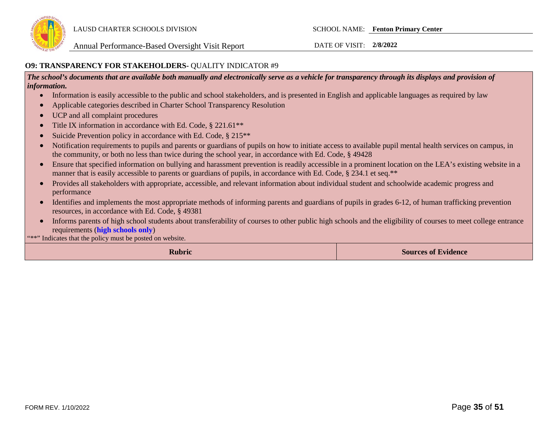

#### **O9: TRANSPARENCY FOR STAKEHOLDERS-** QUALITY INDICATOR #9

*The school's documents that are available both manually and electronically serve as a vehicle for transparency through its displays and provision of information.* 

- Information is easily accessible to the public and school stakeholders, and is presented in English and applicable languages as required by law
- Applicable categories described in Charter School Transparency Resolution
- UCP and all complaint procedures
- Title IX information in accordance with Ed. Code, § 221.61<sup>\*\*</sup>
- Suicide Prevention policy in accordance with Ed. Code, § 215<sup>\*\*</sup>
- Notification requirements to pupils and parents or guardians of pupils on how to initiate access to available pupil mental health services on campus, in the community, or both no less than twice during the school year, in accordance with Ed. Code, § 49428
- Ensure that specified information on bullying and harassment prevention is readily accessible in a prominent location on the LEA's existing website in a manner that is easily accessible to parents or guardians of pupils, in accordance with Ed. Code, § 234.1 et seq.\*\*
- Provides all stakeholders with appropriate, accessible, and relevant information about individual student and schoolwide academic progress and performance
- Identifies and implements the most appropriate methods of informing parents and guardians of pupils in grades 6-12, of human trafficking prevention resources, in accordance with Ed. Code, § 49381
- Informs parents of high school students about transferability of courses to other public high schools and the eligibility of courses to meet college entrance requirements (**high schools only**)

"\*\*" Indicates that the policy must be posted on website.

**Rubric Sources of Evidence**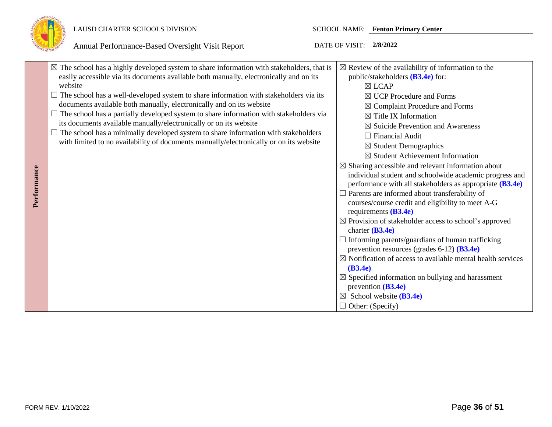

## LAUSD CHARTER SCHOOLS DIVISION SCHOOL NAME: **Fenton Primary Center**

|             | $\boxtimes$ The school has a highly developed system to share information with stakeholders, that is<br>easily accessible via its documents available both manually, electronically and on its<br>website<br>$\Box$ The school has a well-developed system to share information with stakeholders via its                                                                                                           | $\boxtimes$ Review of the availability of information to the<br>public/stakeholders (B3.4e) for:<br>$\boxtimes$ LCAP<br>$\boxtimes$ UCP Procedure and Forms                                                                                                                                                                                                                                                                                                                                                                                                                                                                                                                                                                                                                                                                                                                                                                                                                                                                           |
|-------------|---------------------------------------------------------------------------------------------------------------------------------------------------------------------------------------------------------------------------------------------------------------------------------------------------------------------------------------------------------------------------------------------------------------------|---------------------------------------------------------------------------------------------------------------------------------------------------------------------------------------------------------------------------------------------------------------------------------------------------------------------------------------------------------------------------------------------------------------------------------------------------------------------------------------------------------------------------------------------------------------------------------------------------------------------------------------------------------------------------------------------------------------------------------------------------------------------------------------------------------------------------------------------------------------------------------------------------------------------------------------------------------------------------------------------------------------------------------------|
| Performance | documents available both manually, electronically and on its website<br>The school has a partially developed system to share information with stakeholders via<br>its documents available manually/electronically or on its website<br>The school has a minimally developed system to share information with stakeholders<br>with limited to no availability of documents manually/electronically or on its website | $\boxtimes$ Complaint Procedure and Forms<br>$\boxtimes$ Title IX Information<br>$\boxtimes$ Suicide Prevention and Awareness<br>$\Box$ Financial Audit<br>$\boxtimes$ Student Demographics<br>$\boxtimes$ Student Achievement Information<br>$\boxtimes$ Sharing accessible and relevant information about<br>individual student and schoolwide academic progress and<br>performance with all stakeholders as appropriate (B3.4e)<br>$\Box$ Parents are informed about transferability of<br>courses/course credit and eligibility to meet A-G<br>requirements $(B3.4e)$<br>$\boxtimes$ Provision of stakeholder access to school's approved<br>charter $(B3.4e)$<br>$\Box$ Informing parents/guardians of human trafficking<br>prevention resources (grades $6-12$ ) ( <b>B3.4e</b> )<br>$\boxtimes$ Notification of access to available mental health services<br>(B3.4e)<br>$\boxtimes$ Specified information on bullying and harassment<br>prevention $(B3.4e)$<br>$\boxtimes$ School website (B3.4e)<br>$\Box$ Other: (Specify) |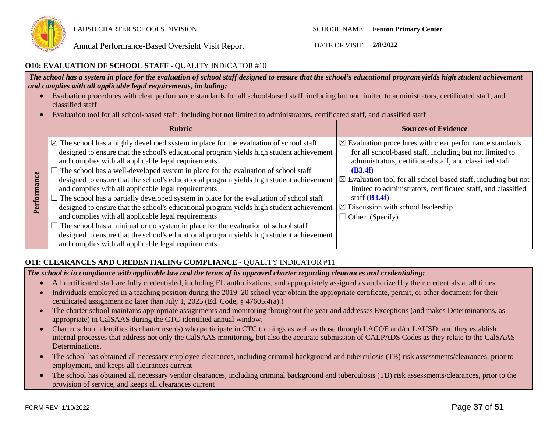

#### **O10: EVALUATION OF SCHOOL STAFF** - QUALITY INDICATOR #10

*The school has a system in place for the evaluation of school staff designed to ensure that the school's educational program yields high student achievement and complies with all applicable legal requirements, including:* 

- Evaluation procedures with clear performance standards for all school-based staff, including but not limited to administrators, certificated staff, and classified staff
- Evaluation tool for all school-based staff, including but not limited to administrators, certificated staff, and classified staff

|                 | <b>Rubric</b>                                                                                                                                                                                                                                                                                                                                                                                                                                                                                                                                                                                                                                                                                                                                                                                                                                                                                                                                                                      | <b>Sources of Evidence</b>                                                                                                                                                                                                                                                                                                                                                                                                                         |
|-----------------|------------------------------------------------------------------------------------------------------------------------------------------------------------------------------------------------------------------------------------------------------------------------------------------------------------------------------------------------------------------------------------------------------------------------------------------------------------------------------------------------------------------------------------------------------------------------------------------------------------------------------------------------------------------------------------------------------------------------------------------------------------------------------------------------------------------------------------------------------------------------------------------------------------------------------------------------------------------------------------|----------------------------------------------------------------------------------------------------------------------------------------------------------------------------------------------------------------------------------------------------------------------------------------------------------------------------------------------------------------------------------------------------------------------------------------------------|
| ance<br>Perform | $\boxtimes$ The school has a highly developed system in place for the evaluation of school staff<br>designed to ensure that the school's educational program yields high student achievement<br>and complies with all applicable legal requirements<br>The school has a well-developed system in place for the evaluation of school staff<br>designed to ensure that the school's educational program yields high student achievement<br>and complies with all applicable legal requirements<br>The school has a partially developed system in place for the evaluation of school staff<br>designed to ensure that the school's educational program yields high student achievement<br>and complies with all applicable legal requirements<br>The school has a minimal or no system in place for the evaluation of school staff<br>designed to ensure that the school's educational program yields high student achievement<br>and complies with all applicable legal requirements | $\boxtimes$ Evaluation procedures with clear performance standards<br>for all school-based staff, including but not limited to<br>administrators, certificated staff, and classified staff<br>(B3.4f)<br>$\boxtimes$ Evaluation tool for all school-based staff, including but not<br>limited to administrators, certificated staff, and classified<br>staff $(B3.4f)$<br>$\boxtimes$ Discussion with school leadership<br>$\Box$ Other: (Specify) |

## **O11: CLEARANCES AND CREDENTIALING COMPLIANCE** - QUALITY INDICATOR #11

*The school is in compliance with applicable law and the terms of its approved charter regarding clearances and credentialing:*

- All certificated staff are fully credentialed, including EL authorizations, and appropriately assigned as authorized by their credentials at all times
- Individuals employed in a teaching position during the 2019–20 school year obtain the appropriate certificate, permit, or other document for their certificated assignment no later than July 1, 2025 (Ed. Code, § 47605.4(a).)
- The charter school maintains appropriate assignments and monitoring throughout the year and addresses Exceptions (and makes Determinations, as appropriate) in CalSAAS during the CTC-identified annual window.
- Charter school identifies its charter user(s) who participate in CTC trainings as well as those through LACOE and/or LAUSD, and they establish internal processes that address not only the CalSAAS monitoring, but also the accurate submission of CALPADS Codes as they relate to the CalSAAS Determinations.
- The school has obtained all necessary employee clearances, including criminal background and tuberculosis (TB) risk assessments/clearances, prior to employment, and keeps all clearances current
- The school has obtained all necessary vendor clearances, including criminal background and tuberculosis (TB) risk assessments/clearances, prior to the provision of service, and keeps all clearances current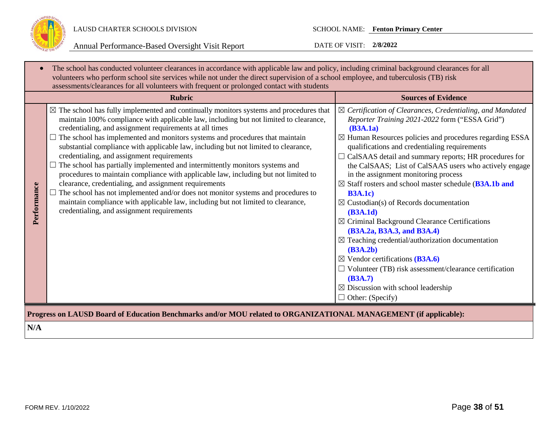

| <b>Rubric</b>                                                                                                                                                                                                                                                                                                                                                                                                                                                                                                                                                                                                                                                                                                                                                                                                                                                                                                                                          | <b>Sources of Evidence</b>                                                                                                                                                                                                                                                                                                                                                                                                                                                                                                                                                                                                                                                                                                                                                                                                                                                                                                                                   |
|--------------------------------------------------------------------------------------------------------------------------------------------------------------------------------------------------------------------------------------------------------------------------------------------------------------------------------------------------------------------------------------------------------------------------------------------------------------------------------------------------------------------------------------------------------------------------------------------------------------------------------------------------------------------------------------------------------------------------------------------------------------------------------------------------------------------------------------------------------------------------------------------------------------------------------------------------------|--------------------------------------------------------------------------------------------------------------------------------------------------------------------------------------------------------------------------------------------------------------------------------------------------------------------------------------------------------------------------------------------------------------------------------------------------------------------------------------------------------------------------------------------------------------------------------------------------------------------------------------------------------------------------------------------------------------------------------------------------------------------------------------------------------------------------------------------------------------------------------------------------------------------------------------------------------------|
| $\boxtimes$ The school has fully implemented and continually monitors systems and procedures that<br>maintain 100% compliance with applicable law, including but not limited to clearance,<br>credentialing, and assignment requirements at all times<br>The school has implemented and monitors systems and procedures that maintain<br>substantial compliance with applicable law, including but not limited to clearance,<br>credentialing, and assignment requirements<br>$\Box$ The school has partially implemented and intermittently monitors systems and<br>procedures to maintain compliance with applicable law, including but not limited to<br>clearance, credentialing, and assignment requirements<br>Performance<br>The school has not implemented and/or does not monitor systems and procedures to<br>maintain compliance with applicable law, including but not limited to clearance,<br>credentialing, and assignment requirements | $\boxtimes$ Certification of Clearances, Credentialing, and Mandated<br>Reporter Training 2021-2022 form ("ESSA Grid")<br>(B3A.1a)<br>$\boxtimes$ Human Resources policies and procedures regarding ESSA<br>qualifications and credentialing requirements<br>$\Box$ CalSAAS detail and summary reports; HR procedures for<br>the CalSAAS; List of CalSAAS users who actively engage<br>in the assignment monitoring process<br>$\boxtimes$ Staff rosters and school master schedule (B3A.1b and<br><b>B3A.1c)</b><br>$\boxtimes$ Custodian(s) of Records documentation<br>(B3A.1d)<br>$\boxtimes$ Criminal Background Clearance Certifications<br>(B3A.2a, B3A.3, and B3A.4)<br>$\boxtimes$ Teaching credential/authorization documentation<br>(B3A.2b)<br>$\boxtimes$ Vendor certifications (B3A.6)<br>$\Box$ Volunteer (TB) risk assessment/clearance certification<br>(B3A.7)<br>$\boxtimes$ Discussion with school leadership<br>$\Box$ Other: (Specify) |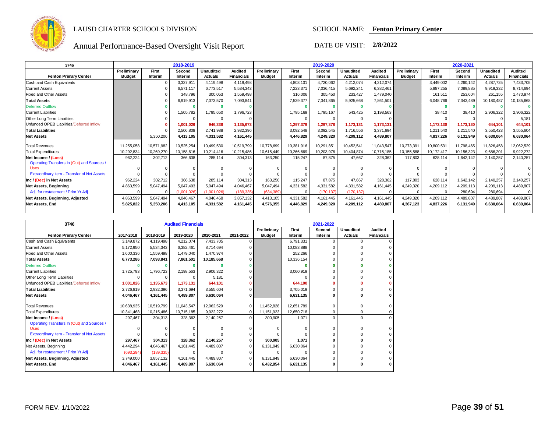

| 3746                                               |               |            | 2018-2019   |                  |                   |               |            | 2019-2020  |                  |                   |               |            | 2020-2021  |                  |                   |
|----------------------------------------------------|---------------|------------|-------------|------------------|-------------------|---------------|------------|------------|------------------|-------------------|---------------|------------|------------|------------------|-------------------|
|                                                    | Preliminary   | First      | Second      | <b>Unaudited</b> | Audited           | Preliminary   | First      | Second     | <b>Unaudited</b> | Audited           | Preliminary   | First      | Second     | <b>Unaudited</b> | Audited           |
| <b>Fenton Primary Center</b>                       | <b>Budget</b> | Interim    | Interim     | <b>Actuals</b>   | <b>Financials</b> | <b>Budget</b> | Interim    | Interim    | <b>Actuals</b>   | <b>Financials</b> | <b>Budget</b> | Interim    | Interim    | <b>Actuals</b>   | <b>Financials</b> |
| Cash and Cash Equivalents                          |               |            | 3,337,911   | 4,119,498        | 4,119,498         |               | 4,803,101  | 4,720,062  | 4,212,074        | 4,212,074         |               | 3,449,002  | 4,260,142  | 4,287,725        | 7,433,705         |
| <b>Current Assets</b>                              |               |            | 6,571,117   | 6,773,517        | 5,534,343         |               | 7,223,371  | 7,036,415  | 5,692,241        | 6,382,461         |               | 5,887,255  | 7,089,885  | 9,919,332        | 8,714,694         |
| <b>Fixed and Other Assets</b>                      |               |            | 348,796     | 300,053          | 1,559,498         |               | 316,006    | 305,450    | 233.427          | 1,479,040         |               | 161,511    | 253,604    | 261,155          | 1,470,974         |
| <b>Total Assets</b>                                |               |            | 6,919,913   | 7,073,570        | 7,093,841         |               | 7,539,377  | 7,341,865  | 5,925,668        | 7,861,501         |               | 6,048,766  | 7,343,489  | 10,180,487       | 10,185,668        |
| <b>Deferred Outflow</b>                            |               |            |             |                  |                   |               |            |            |                  |                   |               |            |            |                  |                   |
| <b>Current Liabilities</b>                         |               |            | 1,505,782   | 1,795,650        | 1,796,723         |               | 1,795,169  | 1,795,167  | 543,425          | 2,198,563         |               | 38,410     | 38,410     | 2,906,322        | 2,906,322         |
| Other Long Term Liabilities                        |               |            | $\Omega$    | $\Omega$         |                   |               |            | - 0        |                  | $\Omega$          |               | $\Omega$   | $\Omega$   |                  | 5,181             |
| Unfunded OPEB Liabilities/Deferred Inflow          |               |            | 1,001,026   | 946,338          | 1,135,673         |               | 1,297,379  | 1,297,378  | 1.173.131        | 1,173,131         |               | 1,173,130  | 1,173,130  | 644.101          | 644,101           |
| <b>Total Liabilities</b>                           |               |            | 2,506,808   | 2,741,988        | 2,932,396         |               | 3,092,548  | 3,092,545  | 1.716.556        | 3,371,694         |               | 1,211,540  | 1,211,540  | 3,550,423        | 3,555,604         |
| <b>Net Assets</b>                                  |               | 5,350,206  | 4,413,105   | 4,331,582        | 4,161,445         |               | 4,446,829  | 4,249,320  | 4,209,112        | 4,489,807         |               | 4,837,226  | 6,131,949  | 6,630,064        | 6,630,064         |
| <b>Total Revenues</b>                              | 11,255,058    | 10.571.982 | 10,525,254  | 10,499,530       | 10,519,799        | 10.778.699    | 10,381,916 | 10,291,851 | 10,452,541       | 11,043,547        | 10,273,391    | 10,800,531 | 11,798,465 | 11,826,458       | 12,062,529        |
| <b>Total Expenditures</b>                          | 10,292,834    | 10,269,270 | 10,158,616  | 10,214,416       | 10,215,486        | 10,615,449    | 10,266,669 | 10,203,976 | 10,404,874       | 10,715,185        | 10,155,588    | 10,172,417 | 10,156,323 | 9,686,201        | 9,922,272         |
| Net Income / (Loss)                                | 962,224       | 302,712    | 366,638     | 285,114          | 304,313           | 163,250       | 115,247    | 87,875     | 47,667           | 328,362           | 117,803       | 628,114    | 1,642,142  | 2,140,257        | 2,140,257         |
| Operating Transfers In (Out) and Sources /         |               |            |             |                  |                   |               |            |            |                  |                   |               |            |            |                  |                   |
| <b>Uses</b>                                        |               |            |             |                  |                   |               |            |            |                  |                   |               |            |            |                  |                   |
| <b>Extraordinary Item - Transfer of Net Assets</b> |               |            |             |                  |                   |               |            |            |                  |                   |               |            |            |                  |                   |
| Inc / (Dec) in Net Assets                          | 962,224       | 302,712    | 366,638     | 285,114          | 304,313           | 163,250       | 115,247    | 87,875     | 47,667           | 328,362           | 117,803       | 628,114    | 1,642,142  | 2,140,257        | 2,140,257         |
| Net Assets, Beginning                              | 4,863,599     | 5,047,494  | 5,047,493   | 5.047.494        | 4,046,467         | 5,047,494     | 4,331,582  | 4,331,582  | 4.331.582        | 4,161,445         | 4,249,320     | 4,209,112  | 4,209,113  | 4,209,113        | 4,489,807         |
| Adj. for restatement / Prior Yr Adj                |               |            | (1,001,026) | (1.001.026)      | (189, 335)        | (634.389)     | $\Omega$   | (170, 137) | (170.137         |                   | $\Omega$      | $\Omega$   | 280.694    | 280.694          |                   |
| Net Assets, Beginning, Adjusted                    | 4,863,599     | 5,047,494  | 4,046,467   | 4,046,468        | 3,857,132         | 4,413,105     | 4,331,582  | 4,161,445  | 4,161,445        | 4,161,445         | 4,249,320     | 4,209,112  | 4,489,807  | 4,489,807        | 4,489,807         |
| <b>Net Assets, End</b>                             | 5,825,822     | 5,350,206  | 4,413,105   | 4,331,582        | 4,161,445         | 4,576,355     | 4,446,829  | 4,249,320  | 4,209,112        | 4,489,807         | 4,367,123     | 4,837,226  | 6,131,949  | 6,630,064        | 6,630,064         |
|                                                    |               |            |             |                  |                   |               |            |            |                  |                   |               |            |            |                  |                   |

| 3746                                               |            |            | <b>Audited Financials</b> |            |           |               |            | 2021-2022 |                |                   |
|----------------------------------------------------|------------|------------|---------------------------|------------|-----------|---------------|------------|-----------|----------------|-------------------|
|                                                    |            |            |                           |            |           | Preliminary   | First      | Second    | Unaudited      | Audited           |
| <b>Fenton Primary Center</b>                       | 2017-2018  | 2018-2019  | 2019-2020                 | 2020-2021  | 2021-2022 | <b>Budget</b> | Interim    | Interim   | <b>Actuals</b> | <b>Financials</b> |
| Cash and Cash Equivalents                          | 3.149.872  | 4,119,498  | 4.212.074                 | 7,433,705  |           |               | 6.791.331  | $\Omega$  |                | $\Omega$          |
| <b>Current Assets</b>                              | 5,172,950  | 5,534,343  | 6,382,461                 | 8,714,694  |           |               | 10,083,888 |           |                | $\Omega$          |
| Fixed and Other Assets                             | 1.600.336  | 1,559,498  | 1,479,040                 | 1,470,974  |           |               | 252.266    |           |                |                   |
| <b>Total Assets</b>                                | 6,773,286  | 7,093,841  | 7,861,501                 | 10,185,668 |           |               | 10,336,154 |           |                |                   |
| <b>Deferred Outflow</b>                            |            |            |                           |            |           |               |            |           |                |                   |
| <b>Current Liabilities</b>                         | 1,725,793  | 1,796,723  | 2,198,563                 | 2,906,322  |           |               | 3,060,919  |           |                | $\Omega$          |
| Other Long Term Liabilities                        |            |            |                           | 5.181      |           |               |            |           |                |                   |
| Unfunded OPEB Liabilities/Deferred Inflow          | 1.001.026  | 1,135,673  | 1,173,131                 | 644.101    |           |               | 644.100    |           |                |                   |
| <b>Total Liabilities</b>                           | 2,726,819  | 2,932,396  | 3,371,694                 | 3,555,604  |           |               | 3,705,019  |           |                |                   |
| <b>Net Assets</b>                                  | 4.046.467  | 4,161,445  | 4,489,807                 | 6,630,064  |           |               | 6,631,135  |           |                | 0                 |
|                                                    |            |            |                           |            |           |               |            |           |                |                   |
| <b>Total Revenues</b>                              | 10,638,935 | 10,519,799 | 11,043,547                | 12,062,529 |           | 11,452,828    | 12,651,789 |           |                | 0                 |
| <b>Total Expenditures</b>                          | 10,341,468 | 10,215,486 | 10,715,185                | 9,922,272  |           | 11,151,923    | 12,650,718 |           |                | 0                 |
| Net Income / (Loss)                                | 297.467    | 304.313    | 328,362                   | 2,140,257  | 0         | 300,905       | 1,071      | $\Omega$  | $\Omega$       | $\mathbf 0$       |
| Operating Transfers In (Out) and Sources /         |            |            |                           |            |           |               |            |           |                |                   |
| <b>Uses</b>                                        |            |            |                           |            |           |               |            |           |                | $\mathbf 0$       |
| <b>Extraordinary Item - Transfer of Net Assets</b> |            |            |                           |            |           |               |            |           |                | 0                 |
| Inc / (Dec) in Net Assets                          | 297,467    | 304,313    | 328,362                   | 2,140,257  |           | 300,905       | 1,071      |           |                | $\mathbf{0}$      |
| Net Assets, Beginning                              | 4,442,294  | 4,046,467  | 4,161,445                 | 4,489,807  |           | 6,131,949     | 6,630,064  |           |                | 0                 |
| Adj. for restatement / Prior Yr Adj                | (693, 294) | (189, 335) |                           |            |           |               |            |           | 0              | 0                 |
| Net Assets, Beginning, Adjusted                    | 3,749,000  | 3,857,132  | 4,161,445                 | 4,489,807  | 0         | 6,131,949     | 6,630,064  | $\Omega$  | $\Omega$       | $\Omega$          |
| <b>Net Assets, End</b>                             | 4,046,467  | 4,161,445  | 4,489,807                 | 6,630,064  |           | 6,432,854     | 6,631,135  |           |                | 0                 |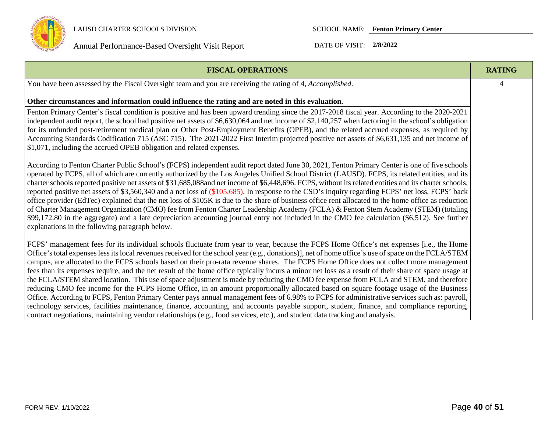

| <b>FISCAL OPERATIONS</b>                                                                                                                                                                                                                                                                                                                                                                                                                                                                                                                                                                                                                                                                                                                                                                                                                                                                                                                                                                                                                                                                                                                                                                                                                                                                                            | <b>RATING</b> |
|---------------------------------------------------------------------------------------------------------------------------------------------------------------------------------------------------------------------------------------------------------------------------------------------------------------------------------------------------------------------------------------------------------------------------------------------------------------------------------------------------------------------------------------------------------------------------------------------------------------------------------------------------------------------------------------------------------------------------------------------------------------------------------------------------------------------------------------------------------------------------------------------------------------------------------------------------------------------------------------------------------------------------------------------------------------------------------------------------------------------------------------------------------------------------------------------------------------------------------------------------------------------------------------------------------------------|---------------|
| You have been assessed by the Fiscal Oversight team and you are receiving the rating of 4, Accomplished.                                                                                                                                                                                                                                                                                                                                                                                                                                                                                                                                                                                                                                                                                                                                                                                                                                                                                                                                                                                                                                                                                                                                                                                                            | 4             |
| Other circumstances and information could influence the rating and are noted in this evaluation.                                                                                                                                                                                                                                                                                                                                                                                                                                                                                                                                                                                                                                                                                                                                                                                                                                                                                                                                                                                                                                                                                                                                                                                                                    |               |
| Fenton Primary Center's fiscal condition is positive and has been upward trending since the 2017-2018 fiscal year. According to the 2020-2021<br>independent audit report, the school had positive net assets of \$6,630,064 and net income of \$2,140,257 when factoring in the school's obligation<br>for its unfunded post-retirement medical plan or Other Post-Employment Benefits (OPEB), and the related accrued expenses, as required by<br>Accounting Standards Codification 715 (ASC 715). The 2021-2022 First Interim projected positive net assets of \$6,631,135 and net income of<br>\$1,071, including the accrued OPEB obligation and related expenses.                                                                                                                                                                                                                                                                                                                                                                                                                                                                                                                                                                                                                                             |               |
| According to Fenton Charter Public School's (FCPS) independent audit report dated June 30, 2021, Fenton Primary Center is one of five schools<br>operated by FCPS, all of which are currently authorized by the Los Angeles Unified School District (LAUSD). FCPS, its related entities, and its<br>charter schools reported positive net assets of \$31,685,088and net income of \$6,448,696. FCPS, without its related entities and its charter schools,<br>reported positive net assets of \$3,560,340 and a net loss of (\$105,685). In response to the CSD's inquiry regarding FCPS' net loss, FCPS' back<br>office provider (EdTec) explained that the net loss of \$105K is due to the share of business office rent allocated to the home office as reduction<br>of Charter Management Organization (CMO) fee from Fenton Charter Leadership Academy (FCLA) & Fenton Stem Academy (STEM) (totaling<br>\$99,172.80 in the aggregate) and a late depreciation accounting journal entry not included in the CMO fee calculation (\$6,512). See further<br>explanations in the following paragraph below.                                                                                                                                                                                                       |               |
| FCPS' management fees for its individual schools fluctuate from year to year, because the FCPS Home Office's net expenses [i.e., the Home<br>Office's total expenses less its local revenues received for the school year (e.g., donations)], net of home office's use of space on the FCLA/STEM<br>campus, are allocated to the FCPS schools based on their pro-rata revenue shares. The FCPS Home Office does not collect more management<br>fees than its expenses require, and the net result of the home office typically incurs a minor net loss as a result of their share of space usage at<br>the FCLA/STEM shared location. This use of space adjustment is made by reducing the CMO fee expense from FCLA and STEM, and therefore<br>reducing CMO fee income for the FCPS Home Office, in an amount proportionally allocated based on square footage usage of the Business<br>Office. According to FCPS, Fenton Primary Center pays annual management fees of 6.98% to FCPS for administrative services such as: payroll,<br>technology services, facilities maintenance, finance, accounting, and accounts payable support, student, finance, and compliance reporting,<br>contract negotiations, maintaining vendor relationships (e.g., food services, etc.), and student data tracking and analysis. |               |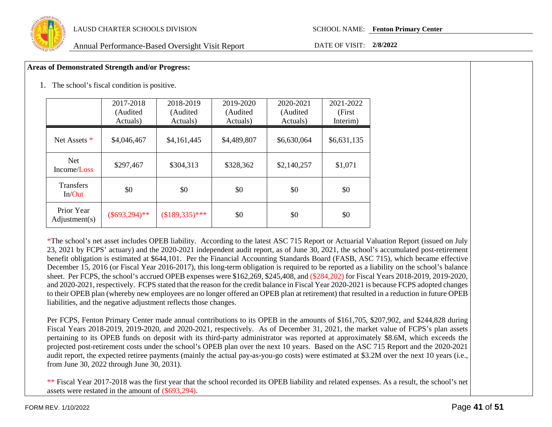

#### **Areas of Demonstrated Strength and/or Progress:**

1. The school's fiscal condition is positive.

|                             | 2017-2018<br>(Audited<br>Actuals) | 2018-2019<br>(Audited<br>Actuals) | 2019-2020<br>(Audited<br>Actuals) | 2020-2021<br>(Audited<br>Actuals) | 2021-2022<br>(First)<br>Interim) |
|-----------------------------|-----------------------------------|-----------------------------------|-----------------------------------|-----------------------------------|----------------------------------|
| Net Assets *                | \$4,046,467                       | \$4,161,445                       | \$4,489,807                       | \$6,630,064                       | \$6,631,135                      |
| <b>Net</b><br>Income/Loss   | \$297,467                         | \$304,313                         | \$328,362                         | \$2,140,257                       | \$1,071                          |
| <b>Transfers</b><br>In/Out  | \$0                               | \$0                               | \$0                               | \$0                               | \$0                              |
| Prior Year<br>Adjustment(s) | $(\$693,294)**$                   | $($189,335)***$                   | \$0                               | \$0                               | \$0                              |

\*The school's net asset includes OPEB liability. According to the latest ASC 715 Report or Actuarial Valuation Report (issued on July 23, 2021 by FCPS' actuary) and the 2020-2021 independent audit report, as of June 30, 2021, the school's accumulated post-retirement benefit obligation is estimated at \$644,101. Per the Financial Accounting Standards Board (FASB, ASC 715), which became effective December 15, 2016 (or Fiscal Year 2016-2017), this long-term obligation is required to be reported as a liability on the school's balance sheet. Per FCPS, the school's accrued OPEB expenses were \$162,269, \$245,408, and (\$284,202) for Fiscal Years 2018-2019, 2019-2020, and 2020-2021, respectively. FCPS stated that the reason for the credit balance in Fiscal Year 2020-2021 is because FCPS adopted changes to their OPEB plan (whereby new employees are no longer offered an OPEB plan at retirement) that resulted in a reduction in future OPEB liabilities, and the negative adjustment reflects those changes.

Per FCPS, Fenton Primary Center made annual contributions to its OPEB in the amounts of \$161,705, \$207,902, and \$244,828 during Fiscal Years 2018-2019, 2019-2020, and 2020-2021, respectively. As of December 31, 2021, the market value of FCPS's plan assets pertaining to its OPEB funds on deposit with its third-party administrator was reported at approximately \$8.6M, which exceeds the projected post-retirement costs under the school's OPEB plan over the next 10 years. Based on the ASC 715 Report and the 2020-2021 audit report, the expected retiree payments (mainly the actual pay-as-you-go costs) were estimated at \$3.2M over the next 10 years (i.e., from June 30, 2022 through June 30, 2031).

\*\* Fiscal Year 2017-2018 was the first year that the school recorded its OPEB liability and related expenses. As a result, the school's net assets were restated in the amount of (\$693,294).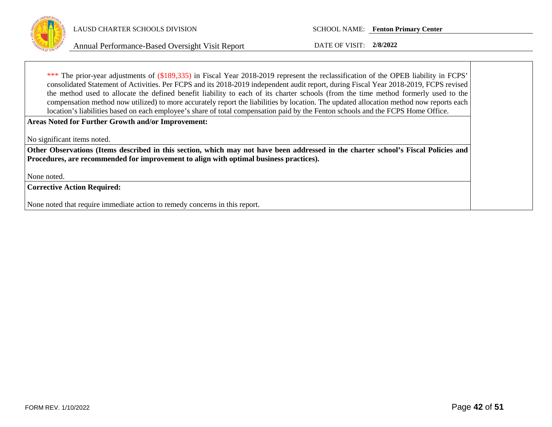

\*\*\* The prior-year adjustments of (\$189,335) in Fiscal Year 2018-2019 represent the reclassification of the OPEB liability in FCPS' consolidated Statement of Activities. Per FCPS and its 2018-2019 independent audit report, during Fiscal Year 2018-2019, FCPS revised the method used to allocate the defined benefit liability to each of its charter schools (from the time method formerly used to the compensation method now utilized) to more accurately report the liabilities by location. The updated allocation method now reports each location's liabilities based on each employee's share of total compensation paid by the Fenton schools and the FCPS Home Office.

**Areas Noted for Further Growth and/or Improvement:**

No significant items noted.

**Other Observations (Items described in this section, which may not have been addressed in the charter school's Fiscal Policies and Procedures, are recommended for improvement to align with optimal business practices).**

None noted.

**Corrective Action Required:**

None noted that require immediate action to remedy concerns in this report.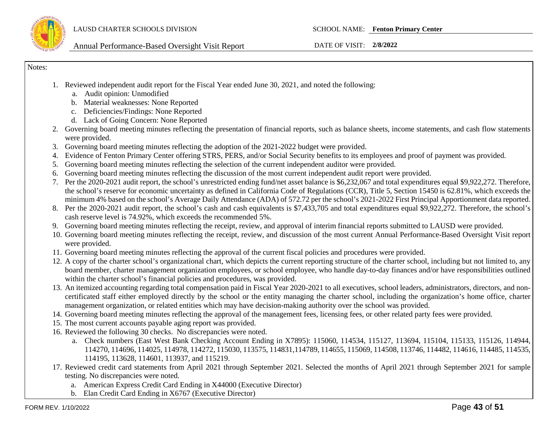

Notes:

- 1. Reviewed independent audit report for the Fiscal Year ended June 30, 2021, and noted the following:
	- a. Audit opinion: Unmodified
	- b. Material weaknesses: None Reported
	- c. Deficiencies/Findings: None Reported
	- d. Lack of Going Concern: None Reported
- 2. Governing board meeting minutes reflecting the presentation of financial reports, such as balance sheets, income statements, and cash flow statements were provided.
- 3. Governing board meeting minutes reflecting the adoption of the 2021-2022 budget were provided.
- 4. Evidence of Fenton Primary Center offering STRS, PERS, and/or Social Security benefits to its employees and proof of payment was provided.
- 5. Governing board meeting minutes reflecting the selection of the current independent auditor were provided.
- 6. Governing board meeting minutes reflecting the discussion of the most current independent audit report were provided.
- 7. Per the 2020-2021 audit report, the school's unrestricted ending fund/net asset balance is \$6,232,067 and total expenditures equal \$9,922,272. Therefore, the school's reserve for economic uncertainty as defined in California Code of Regulations (CCR), Title 5, Section 15450 is 62.81%, which exceeds the minimum 4% based on the school's Average Daily Attendance (ADA) of 572.72 per the school's 2021-2022 First Principal Apportionment data reported.
- 8. Per the 2020-2021 audit report, the school's cash and cash equivalents is \$7,433,705 and total expenditures equal \$9,922,272. Therefore, the school's cash reserve level is 74.92%, which exceeds the recommended 5%.
- 9. Governing board meeting minutes reflecting the receipt, review, and approval of interim financial reports submitted to LAUSD were provided.
- 10. Governing board meeting minutes reflecting the receipt, review, and discussion of the most current Annual Performance-Based Oversight Visit report were provided.
- 11. Governing board meeting minutes reflecting the approval of the current fiscal policies and procedures were provided.
- 12. A copy of the charter school's organizational chart, which depicts the current reporting structure of the charter school, including but not limited to, any board member, charter management organization employees, or school employee, who handle day-to-day finances and/or have responsibilities outlined within the charter school's financial policies and procedures, was provided.
- 13. An itemized accounting regarding total compensation paid in Fiscal Year 2020-2021 to all executives, school leaders, administrators, directors, and noncertificated staff either employed directly by the school or the entity managing the charter school, including the organization's home office, charter management organization, or related entities which may have decision-making authority over the school was provided.
- 14. Governing board meeting minutes reflecting the approval of the management fees, licensing fees, or other related party fees were provided.
- 15. The most current accounts payable aging report was provided.
- 16. Reviewed the following 30 checks. No discrepancies were noted.
	- a. Check numbers (East West Bank Checking Account Ending in X7895): 115060, 114534, 115127, 113694, 115104, 115133, 115126, 114944, 114270, 114696, 114025, 114978, 114272, 115030, 113575, 114831,114789, 114655, 115069, 114508, 113746, 114482, 114616, 114485, 114535, 114195, 113628, 114601, 113937, and 115219.
- 17. Reviewed credit card statements from April 2021 through September 2021. Selected the months of April 2021 through September 2021 for sample testing. No discrepancies were noted.
	- a. American Express Credit Card Ending in X44000 (Executive Director)
	- b. Elan Credit Card Ending in X6767 (Executive Director)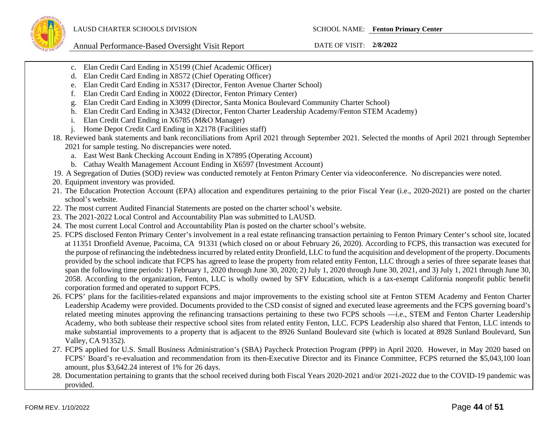- c. Elan Credit Card Ending in X5199 (Chief Academic Officer)
- d. Elan Credit Card Ending in X8572 (Chief Operating Officer)
- e. Elan Credit Card Ending in X5317 (Director, Fenton Avenue Charter School)
- f. Elan Credit Card Ending in X0022 (Director, Fenton Primary Center)
- g. Elan Credit Card Ending in X3099 (Director, Santa Monica Boulevard Community Charter School)
- h. Elan Credit Card Ending in X3432 (Director, Fenton Charter Leadership Academy/Fenton STEM Academy)
- i. Elan Credit Card Ending in X6785 (M&O Manager)
- j. Home Depot Credit Card Ending in X2178 (Facilities staff)
- 18. Reviewed bank statements and bank reconciliations from April 2021 through September 2021. Selected the months of April 2021 through September 2021 for sample testing. No discrepancies were noted.
	- a. East West Bank Checking Account Ending in X7895 (Operating Account)
	- b. Cathay Wealth Management Account Ending in X6597 (Investment Account)
- 19. A Segregation of Duties (SOD) review was conducted remotely at Fenton Primary Center via videoconference. No discrepancies were noted.
- 20. Equipment inventory was provided.
- 21. The Education Protection Account (EPA) allocation and expenditures pertaining to the prior Fiscal Year (i.e., 2020-2021) are posted on the charter school's website.
- 22. The most current Audited Financial Statements are posted on the charter school's website.
- 23. The 2021-2022 Local Control and Accountability Plan was submitted to LAUSD.
- 24. The most current Local Control and Accountability Plan is posted on the charter school's website.
- 25. FCPS disclosed Fenton Primary Center's involvement in a real estate refinancing transaction pertaining to Fenton Primary Center's school site, located at 11351 Dronfield Avenue, Pacoima, CA 91331 (which closed on or about February 26, 2020). According to FCPS, this transaction was executed for the purpose of refinancing the indebtedness incurred by related entity Dronfield, LLC to fund the acquisition and development of the property. Documents provided by the school indicate that FCPS has agreed to lease the property from related entity Fenton, LLC through a series of three separate leases that span the following time periods: 1) February 1, 2020 through June 30, 2020; 2) July 1, 2020 through June 30, 2021, and 3) July 1, 2021 through June 30, 2058. According to the organization, Fenton, LLC is wholly owned by SFV Education, which is a tax-exempt California nonprofit public benefit corporation formed and operated to support FCPS.
- 26. FCPS' plans for the facilities-related expansions and major improvements to the existing school site at Fenton STEM Academy and Fenton Charter Leadership Academy were provided. Documents provided to the CSD consist of signed and executed lease agreements and the FCPS governing board's related meeting minutes approving the refinancing transactions pertaining to these two FCPS schools —i.e., STEM and Fenton Charter Leadership Academy, who both sublease their respective school sites from related entity Fenton, LLC. FCPS Leadership also shared that Fenton, LLC intends to make substantial improvements to a property that is adjacent to the 8926 Sunland Boulevard site (which is located at 8928 Sunland Boulevard, Sun Valley, CA 91352).
- 27. FCPS applied for U.S. Small Business Administration's (SBA) Paycheck Protection Program (PPP) in April 2020. However, in May 2020 based on FCPS' Board's re-evaluation and recommendation from its then-Executive Director and its Finance Committee, FCPS returned the \$5,043,100 loan amount, plus \$3,642.24 interest of 1% for 26 days.
- 28. Documentation pertaining to grants that the school received during both Fiscal Years 2020-2021 and/or 2021-2022 due to the COVID-19 pandemic was provided.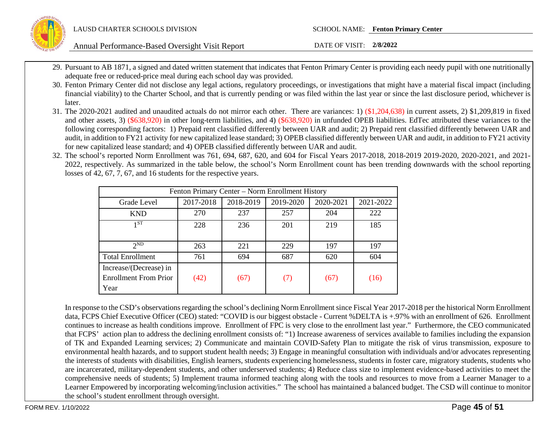

- 29. Pursuant to AB 1871, a signed and dated written statement that indicates that Fenton Primary Center is providing each needy pupil with one nutritionally adequate free or reduced-price meal during each school day was provided.
- 30. Fenton Primary Center did not disclose any legal actions, regulatory proceedings, or investigations that might have a material fiscal impact (including financial viability) to the Charter School, and that is currently pending or was filed within the last year or since the last disclosure period, whichever is later.
- 31. The 2020-2021 audited and unaudited actuals do not mirror each other. There are variances: 1) (\$1,204,638) in current assets, 2) \$1,209,819 in fixed and other assets, 3) (\$638,920) in other long-term liabilities, and 4) (\$638,920) in unfunded OPEB liabilities. EdTec attributed these variances to the following corresponding factors: 1) Prepaid rent classified differently between UAR and audit; 2) Prepaid rent classified differently between UAR and audit, in addition to FY21 activity for new capitalized lease standard; 3) OPEB classified differently between UAR and audit, in addition to FY21 activity for new capitalized lease standard; and 4) OPEB classified differently between UAR and audit.
- 32. The school's reported Norm Enrollment was 761, 694, 687, 620, and 604 for Fiscal Years 2017-2018, 2018-2019 2019-2020, 2020-2021, and 2021- 2022, respectively. As summarized in the table below, the school's Norm Enrollment count has been trending downwards with the school reporting losses of 42, 67, 7, 67, and 16 students for the respective years.

|                              | Fenton Primary Center – Norm Enrollment History |           |           |           |           |  |
|------------------------------|-------------------------------------------------|-----------|-----------|-----------|-----------|--|
| Grade Level                  | 2017-2018                                       | 2018-2019 | 2019-2020 | 2020-2021 | 2021-2022 |  |
| <b>KND</b>                   | 270                                             | 237       | 257       | 204       | 222       |  |
| 1ST                          | 228                                             | 236       | 201       | 219       | 185       |  |
|                              |                                                 |           |           |           |           |  |
| $2^{ND}$                     | 263                                             | 221       | 229       | 197       | 197       |  |
| <b>Total Enrollment</b>      | 761                                             | 694       | 687       | 620       | 604       |  |
| Increase/(Decrease) in       |                                                 |           |           |           |           |  |
| <b>Enrollment From Prior</b> | (42)                                            | (67)      | (7)       | (67)      | (16)      |  |
| Year                         |                                                 |           |           |           |           |  |

In response to the CSD's observations regarding the school's declining Norm Enrollment since Fiscal Year 2017-2018 per the historical Norm Enrollment data, FCPS Chief Executive Officer (CEO) stated: "COVID is our biggest obstacle - Current %DELTA is +.97% with an enrollment of 626. Enrollment continues to increase as health conditions improve. Enrollment of FPC is very close to the enrollment last year." Furthermore, the CEO communicated that FCPS' action plan to address the declining enrollment consists of: "1) Increase awareness of services available to families including the expansion of TK and Expanded Learning services; 2) Communicate and maintain COVID-Safety Plan to mitigate the risk of virus transmission, exposure to environmental health hazards, and to support student health needs; 3) Engage in meaningful consultation with individuals and/or advocates representing the interests of students with disabilities, English learners, students experiencing homelessness, students in foster care, migratory students, students who are incarcerated, military-dependent students, and other underserved students; 4) Reduce class size to implement evidence-based activities to meet the comprehensive needs of students; 5) Implement trauma informed teaching along with the tools and resources to move from a Learner Manager to a Learner Empowered by incorporating welcoming/inclusion activities." The school has maintained a balanced budget. The CSD will continue to monitor the school's student enrollment through oversight.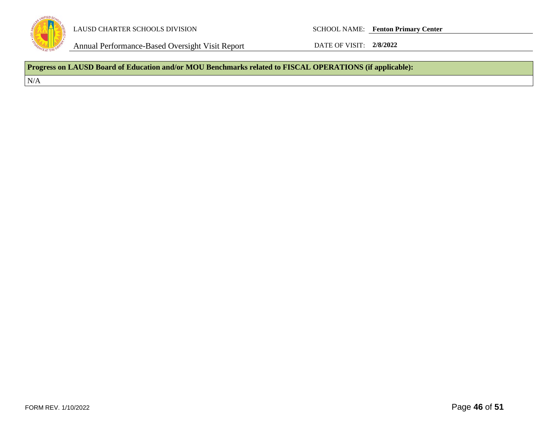

Annual Performance-Based Oversight Visit Report DATE OF VISIT: 2/8/2022

**Progress on LAUSD Board of Education and/or MOU Benchmarks related to FISCAL OPERATIONS (if applicable):**

 $\rm N/A$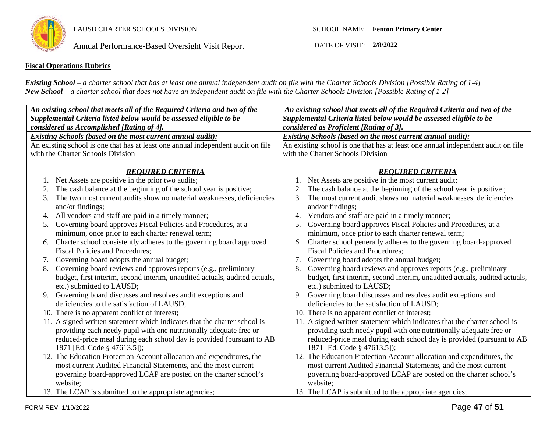

LAUSD CHARTER SCHOOLS DIVISION SCHOOL NAME: **Fenton Primary Center**

### **Fiscal Operations Rubrics**

*Existing School – a charter school that has at least one annual independent audit on file with the Charter Schools Division [Possible Rating of 1-4] New School – a charter school that does not have an independent audit on file with the Charter Schools Division [Possible Rating of 1-2]*

| An existing school that meets all of the Required Criteria and two of the        | An existing school that meets all of the Required Criteria and two of the        |  |  |  |  |
|----------------------------------------------------------------------------------|----------------------------------------------------------------------------------|--|--|--|--|
| Supplemental Criteria listed below would be assessed eligible to be              | Supplemental Criteria listed below would be assessed eligible to be              |  |  |  |  |
| considered as Accomplished [Rating of 4].                                        | considered as Proficient [Rating of 3].                                          |  |  |  |  |
| <b>Existing Schools (based on the most current annual audit):</b>                | <b>Existing Schools (based on the most current annual audit):</b>                |  |  |  |  |
| An existing school is one that has at least one annual independent audit on file | An existing school is one that has at least one annual independent audit on file |  |  |  |  |
| with the Charter Schools Division                                                | with the Charter Schools Division                                                |  |  |  |  |
|                                                                                  |                                                                                  |  |  |  |  |
| <b>REQUIRED CRITERIA</b>                                                         | <b>REQUIRED CRITERIA</b>                                                         |  |  |  |  |
| Net Assets are positive in the prior two audits;                                 | Net Assets are positive in the most current audit;                               |  |  |  |  |
| The cash balance at the beginning of the school year is positive;<br>2.          | The cash balance at the beginning of the school year is positive;                |  |  |  |  |
| The two most current audits show no material weaknesses, deficiencies<br>3.      | The most current audit shows no material weaknesses, deficiencies<br>3.          |  |  |  |  |
| and/or findings;                                                                 | and/or findings;                                                                 |  |  |  |  |
| 4. All vendors and staff are paid in a timely manner;                            | Vendors and staff are paid in a timely manner;<br>4.                             |  |  |  |  |
| 5. Governing board approves Fiscal Policies and Procedures, at a                 | Governing board approves Fiscal Policies and Procedures, at a<br>5.              |  |  |  |  |
| minimum, once prior to each charter renewal term;                                | minimum, once prior to each charter renewal term;                                |  |  |  |  |
| Charter school consistently adheres to the governing board approved<br>6.        | Charter school generally adheres to the governing board-approved<br>6.           |  |  |  |  |
| <b>Fiscal Policies and Procedures:</b>                                           | <b>Fiscal Policies and Procedures;</b>                                           |  |  |  |  |
| Governing board adopts the annual budget;<br>7.                                  | Governing board adopts the annual budget;<br>7.                                  |  |  |  |  |
| Governing board reviews and approves reports (e.g., preliminary<br>8.            | Governing board reviews and approves reports (e.g., preliminary<br>8.            |  |  |  |  |
| budget, first interim, second interim, unaudited actuals, audited actuals,       | budget, first interim, second interim, unaudited actuals, audited actuals,       |  |  |  |  |
| etc.) submitted to LAUSD;                                                        | etc.) submitted to LAUSD;                                                        |  |  |  |  |
| 9. Governing board discusses and resolves audit exceptions and                   | Governing board discusses and resolves audit exceptions and<br>9.                |  |  |  |  |
| deficiencies to the satisfaction of LAUSD;                                       | deficiencies to the satisfaction of LAUSD;                                       |  |  |  |  |
| 10. There is no apparent conflict of interest;                                   | 10. There is no apparent conflict of interest;                                   |  |  |  |  |
| 11. A signed written statement which indicates that the charter school is        | 11. A signed written statement which indicates that the charter school is        |  |  |  |  |
| providing each needy pupil with one nutritionally adequate free or               | providing each needy pupil with one nutritionally adequate free or               |  |  |  |  |
| reduced-price meal during each school day is provided (pursuant to AB            | reduced-price meal during each school day is provided (pursuant to AB            |  |  |  |  |
| 1871 [Ed. Code § 47613.5]);                                                      | 1871 [Ed. Code § 47613.5]);                                                      |  |  |  |  |
| 12. The Education Protection Account allocation and expenditures, the            | 12. The Education Protection Account allocation and expenditures, the            |  |  |  |  |
| most current Audited Financial Statements, and the most current                  | most current Audited Financial Statements, and the most current                  |  |  |  |  |
| governing board-approved LCAP are posted on the charter school's                 | governing board-approved LCAP are posted on the charter school's                 |  |  |  |  |
| website;                                                                         | website;                                                                         |  |  |  |  |
| 13. The LCAP is submitted to the appropriate agencies;                           | 13. The LCAP is submitted to the appropriate agencies;                           |  |  |  |  |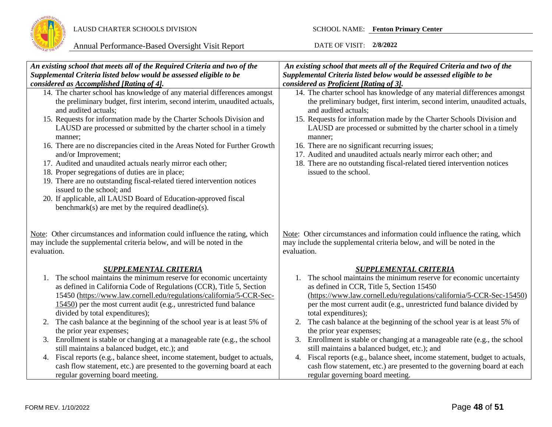

| An existing school that meets all of the Required Criteria and two of the                                                                                           | An existing school that meets all of the Required Criteria and two of the                                                                                           |
|---------------------------------------------------------------------------------------------------------------------------------------------------------------------|---------------------------------------------------------------------------------------------------------------------------------------------------------------------|
| Supplemental Criteria listed below would be assessed eligible to be                                                                                                 | Supplemental Criteria listed below would be assessed eligible to be                                                                                                 |
| considered as Accomplished [Rating of 4].                                                                                                                           | considered as Proficient [Rating of 3].                                                                                                                             |
| 14. The charter school has knowledge of any material differences amongst                                                                                            | 14. The charter school has knowledge of any material differences amongst                                                                                            |
|                                                                                                                                                                     |                                                                                                                                                                     |
| the preliminary budget, first interim, second interim, unaudited actuals,                                                                                           | the preliminary budget, first interim, second interim, unaudited actuals,                                                                                           |
| and audited actuals;                                                                                                                                                | and audited actuals;                                                                                                                                                |
| 15. Requests for information made by the Charter Schools Division and                                                                                               | 15. Requests for information made by the Charter Schools Division and                                                                                               |
| LAUSD are processed or submitted by the charter school in a timely                                                                                                  | LAUSD are processed or submitted by the charter school in a timely                                                                                                  |
| manner;                                                                                                                                                             | manner;                                                                                                                                                             |
| 16. There are no discrepancies cited in the Areas Noted for Further Growth                                                                                          | 16. There are no significant recurring issues;                                                                                                                      |
| and/or Improvement;                                                                                                                                                 | 17. Audited and unaudited actuals nearly mirror each other; and                                                                                                     |
| 17. Audited and unaudited actuals nearly mirror each other;                                                                                                         | 18. There are no outstanding fiscal-related tiered intervention notices                                                                                             |
| 18. Proper segregations of duties are in place;                                                                                                                     | issued to the school.                                                                                                                                               |
| 19. There are no outstanding fiscal-related tiered intervention notices                                                                                             |                                                                                                                                                                     |
| issued to the school; and                                                                                                                                           |                                                                                                                                                                     |
| 20. If applicable, all LAUSD Board of Education-approved fiscal                                                                                                     |                                                                                                                                                                     |
| benchmark(s) are met by the required deadline(s).                                                                                                                   |                                                                                                                                                                     |
|                                                                                                                                                                     |                                                                                                                                                                     |
| Note: Other circumstances and information could influence the rating, which<br>may include the supplemental criteria below, and will be noted in the<br>evaluation. | Note: Other circumstances and information could influence the rating, which<br>may include the supplemental criteria below, and will be noted in the<br>evaluation. |
| <b>SUPPLEMENTAL CRITERIA</b>                                                                                                                                        | <b>SUPPLEMENTAL CRITERIA</b>                                                                                                                                        |
| 1. The school maintains the minimum reserve for economic uncertainty                                                                                                | The school maintains the minimum reserve for economic uncertainty<br>1.                                                                                             |
| as defined in California Code of Regulations (CCR), Title 5, Section                                                                                                | as defined in CCR, Title 5, Section 15450                                                                                                                           |
| 15450 (https://www.law.cornell.edu/regulations/california/5-CCR-Sec-                                                                                                | (https://www.law.cornell.edu/regulations/california/5-CCR-Sec-15450)                                                                                                |
| 15450) per the most current audit (e.g., unrestricted fund balance                                                                                                  | per the most current audit (e.g., unrestricted fund balance divided by                                                                                              |
| divided by total expenditures);                                                                                                                                     | total expenditures);                                                                                                                                                |
| The cash balance at the beginning of the school year is at least 5% of<br>2.                                                                                        | The cash balance at the beginning of the school year is at least 5% of<br>2.                                                                                        |
| the prior year expenses;                                                                                                                                            | the prior year expenses;                                                                                                                                            |
| 3. Enrollment is stable or changing at a manageable rate (e.g., the school                                                                                          | Enrollment is stable or changing at a manageable rate (e.g., the school<br>3.                                                                                       |
| still maintains a balanced budget, etc.); and                                                                                                                       | still maintains a balanced budget, etc.); and                                                                                                                       |
| 4. Fiscal reports (e.g., balance sheet, income statement, budget to actuals,                                                                                        | 4. Fiscal reports (e.g., balance sheet, income statement, budget to actuals,                                                                                        |
| cash flow statement, etc.) are presented to the governing board at each                                                                                             | cash flow statement, etc.) are presented to the governing board at each                                                                                             |
| regular governing board meeting.                                                                                                                                    | regular governing board meeting.                                                                                                                                    |
|                                                                                                                                                                     |                                                                                                                                                                     |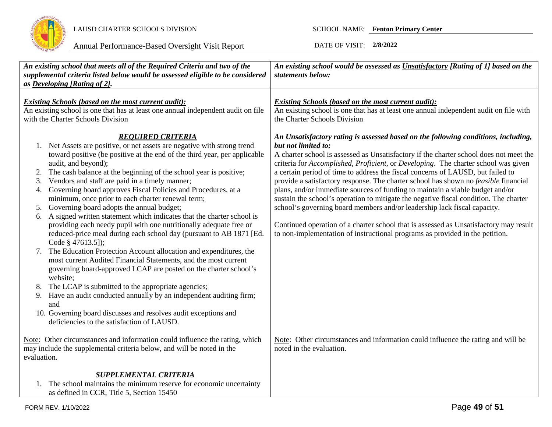

|                | An existing school that meets all of the Required Criteria and two of the<br>supplemental criteria listed below would be assessed eligible to be considered<br>as Developing [Rating of 2].                                                                                                                                                                                                                | An existing school would be assessed as Unsatisfactory [Rating of 1] based on the<br>statements below:                                                                                                                                                                                                                                                                                                                                                              |
|----------------|------------------------------------------------------------------------------------------------------------------------------------------------------------------------------------------------------------------------------------------------------------------------------------------------------------------------------------------------------------------------------------------------------------|---------------------------------------------------------------------------------------------------------------------------------------------------------------------------------------------------------------------------------------------------------------------------------------------------------------------------------------------------------------------------------------------------------------------------------------------------------------------|
|                | <b>Existing Schools (based on the most current audit):</b><br>An existing school is one that has at least one annual independent audit on file<br>with the Charter Schools Division                                                                                                                                                                                                                        | <b>Existing Schools (based on the most current audit):</b><br>An existing school is one that has at least one annual independent audit on file with<br>the Charter Schools Division                                                                                                                                                                                                                                                                                 |
| 2.<br>3.       | <b>REOUIRED CRITERIA</b><br>1. Net Assets are positive, or net assets are negative with strong trend<br>toward positive (be positive at the end of the third year, per applicable<br>audit, and beyond);<br>The cash balance at the beginning of the school year is positive;<br>Vendors and staff are paid in a timely manner;                                                                            | An Unsatisfactory rating is assessed based on the following conditions, including,<br>but not limited to:<br>A charter school is assessed as Unsatisfactory if the charter school does not meet the<br>criteria for Accomplished, Proficient, or Developing. The charter school was given<br>a certain period of time to address the fiscal concerns of LAUSD, but failed to<br>provide a satisfactory response. The charter school has shown no feasible financial |
| 4.<br>5.<br>6. | Governing board approves Fiscal Policies and Procedures, at a<br>minimum, once prior to each charter renewal term;<br>Governing board adopts the annual budget;<br>A signed written statement which indicates that the charter school is<br>providing each needy pupil with one nutritionally adequate free or<br>reduced-price meal during each school day (pursuant to AB 1871 [Ed.<br>Code § 47613.5]); | plans, and/or immediate sources of funding to maintain a viable budget and/or<br>sustain the school's operation to mitigate the negative fiscal condition. The charter<br>school's governing board members and/or leadership lack fiscal capacity.<br>Continued operation of a charter school that is assessed as Unsatisfactory may result<br>to non-implementation of instructional programs as provided in the petition.                                         |
| 8.<br>9.       | The Education Protection Account allocation and expenditures, the<br>most current Audited Financial Statements, and the most current<br>governing board-approved LCAP are posted on the charter school's<br>website;<br>The LCAP is submitted to the appropriate agencies;<br>Have an audit conducted annually by an independent auditing firm;                                                            |                                                                                                                                                                                                                                                                                                                                                                                                                                                                     |
|                | and<br>10. Governing board discusses and resolves audit exceptions and<br>deficiencies to the satisfaction of LAUSD.                                                                                                                                                                                                                                                                                       |                                                                                                                                                                                                                                                                                                                                                                                                                                                                     |
| evaluation.    | Note: Other circumstances and information could influence the rating, which<br>may include the supplemental criteria below, and will be noted in the                                                                                                                                                                                                                                                       | Note: Other circumstances and information could influence the rating and will be<br>noted in the evaluation.                                                                                                                                                                                                                                                                                                                                                        |
|                | <b>SUPPLEMENTAL CRITERIA</b><br>1. The school maintains the minimum reserve for economic uncertainty<br>as defined in CCR, Title 5, Section 15450                                                                                                                                                                                                                                                          |                                                                                                                                                                                                                                                                                                                                                                                                                                                                     |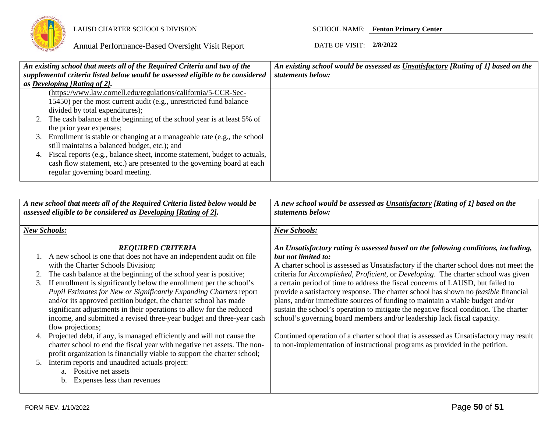

|    | An existing school that meets all of the Required Criteria and two of the      | An existing school would be assessed as Unsatisfactory [Rating of 1] based on the |
|----|--------------------------------------------------------------------------------|-----------------------------------------------------------------------------------|
|    | supplemental criteria listed below would be assessed eligible to be considered | statements below:                                                                 |
|    | as Developing [Rating of 2].                                                   |                                                                                   |
|    | (https://www.law.cornell.edu/regulations/california/5-CCR-Sec-                 |                                                                                   |
|    | $15450$ ) per the most current audit (e.g., unrestricted fund balance          |                                                                                   |
|    | divided by total expenditures);                                                |                                                                                   |
|    | 2. The cash balance at the beginning of the school year is at least 5% of      |                                                                                   |
|    | the prior year expenses;                                                       |                                                                                   |
|    | 3. Enrollment is stable or changing at a manageable rate (e.g., the school     |                                                                                   |
|    | still maintains a balanced budget, etc.); and                                  |                                                                                   |
| 4. | Fiscal reports (e.g., balance sheet, income statement, budget to actuals,      |                                                                                   |
|    | cash flow statement, etc.) are presented to the governing board at each        |                                                                                   |
|    | regular governing board meeting.                                               |                                                                                   |
|    |                                                                                |                                                                                   |

|          | A new school that meets all of the Required Criteria listed below would be<br>assessed eligible to be considered as Developing [Rating of 2].                                                                                                                                                                                                                                                                                                                                                                                                                                                      | A new school would be assessed as <b>Unsatisfactory</b> [Rating of 1] based on the<br>statements below:                                                                                                                                                                                                                                                                                                                                                                                                                                                                                                                                                                                                                                          |
|----------|----------------------------------------------------------------------------------------------------------------------------------------------------------------------------------------------------------------------------------------------------------------------------------------------------------------------------------------------------------------------------------------------------------------------------------------------------------------------------------------------------------------------------------------------------------------------------------------------------|--------------------------------------------------------------------------------------------------------------------------------------------------------------------------------------------------------------------------------------------------------------------------------------------------------------------------------------------------------------------------------------------------------------------------------------------------------------------------------------------------------------------------------------------------------------------------------------------------------------------------------------------------------------------------------------------------------------------------------------------------|
|          | <b>New Schools:</b>                                                                                                                                                                                                                                                                                                                                                                                                                                                                                                                                                                                | <b>New Schools:</b>                                                                                                                                                                                                                                                                                                                                                                                                                                                                                                                                                                                                                                                                                                                              |
| 3.       | <b>REOUIRED CRITERIA</b><br>A new school is one that does not have an independent audit on file<br>with the Charter Schools Division;<br>The cash balance at the beginning of the school year is positive;<br>If enrollment is significantly below the enrollment per the school's<br>Pupil Estimates for New or Significantly Expanding Charters report<br>and/or its approved petition budget, the charter school has made<br>significant adjustments in their operations to allow for the reduced<br>income, and submitted a revised three-year budget and three-year cash<br>flow projections; | An Unsatisfactory rating is assessed based on the following conditions, including,<br>but not limited to:<br>A charter school is assessed as Unsatisfactory if the charter school does not meet the<br>criteria for <i>Accomplished, Proficient</i> , or <i>Developing</i> . The charter school was given<br>a certain period of time to address the fiscal concerns of LAUSD, but failed to<br>provide a satisfactory response. The charter school has shown no <i>feasible</i> financial<br>plans, and/or immediate sources of funding to maintain a viable budget and/or<br>sustain the school's operation to mitigate the negative fiscal condition. The charter<br>school's governing board members and/or leadership lack fiscal capacity. |
| 4.<br>5. | Projected debt, if any, is managed efficiently and will not cause the<br>charter school to end the fiscal year with negative net assets. The non-<br>profit organization is financially viable to support the charter school;<br>Interim reports and unaudited actuals project:<br>a. Positive net assets<br>Expenses less than revenues<br>b.                                                                                                                                                                                                                                                     | Continued operation of a charter school that is assessed as Unsatisfactory may result<br>to non-implementation of instructional programs as provided in the petition.                                                                                                                                                                                                                                                                                                                                                                                                                                                                                                                                                                            |